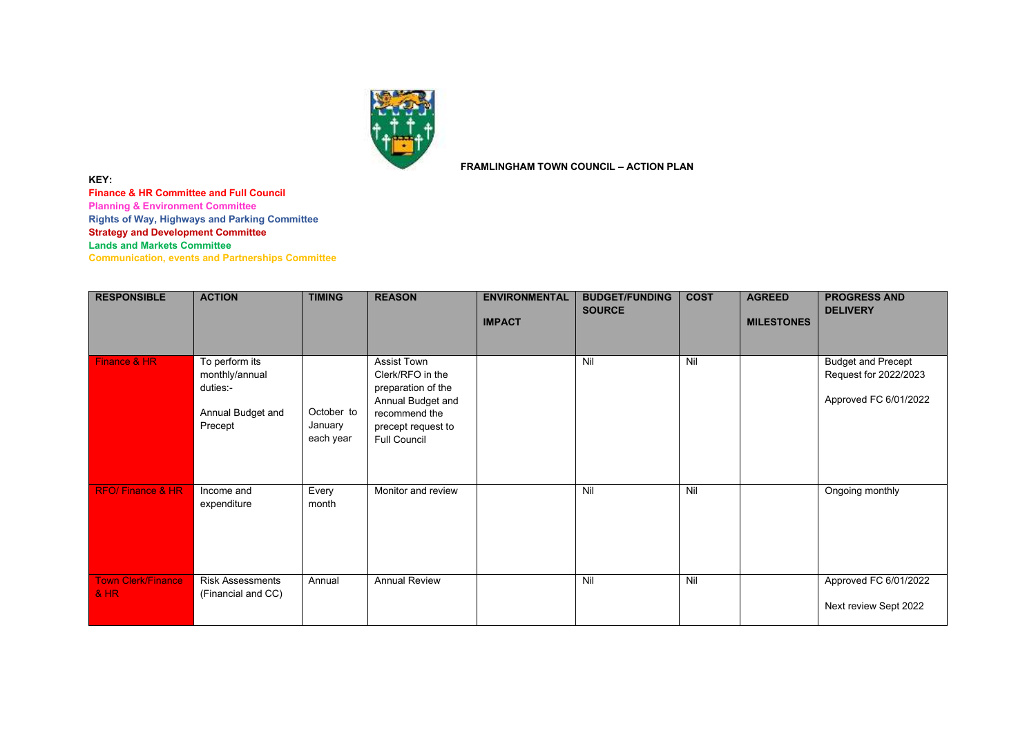

**FRAMLINGHAM TOWN COUNCIL – ACTION PLAN**

**Finance & HR Committee and Full Council Planning & Environment Committee Rights of Way, Highways and Parking Committee**

**Strategy and Development Committee**

**Lands and Markets Committee**

**KEY:**

**Communication, events and Partnerships Committee**

| <b>RESPONSIBLE</b>                  | <b>ACTION</b>                                                                | <b>TIMING</b>                      | <b>REASON</b>                                                                                                                            | <b>ENVIRONMENTAL</b><br><b>IMPACT</b> | <b>BUDGET/FUNDING</b><br><b>SOURCE</b> | <b>COST</b> | <b>AGREED</b><br><b>MILESTONES</b> | <b>PROGRESS AND</b><br><b>DELIVERY</b>                                      |
|-------------------------------------|------------------------------------------------------------------------------|------------------------------------|------------------------------------------------------------------------------------------------------------------------------------------|---------------------------------------|----------------------------------------|-------------|------------------------------------|-----------------------------------------------------------------------------|
| Finance & HR                        | To perform its<br>monthly/annual<br>duties:-<br>Annual Budget and<br>Precept | October to<br>January<br>each year | Assist Town<br>Clerk/RFO in the<br>preparation of the<br>Annual Budget and<br>recommend the<br>precept request to<br><b>Full Council</b> |                                       | Nil                                    | Nil         |                                    | <b>Budget and Precept</b><br>Request for 2022/2023<br>Approved FC 6/01/2022 |
| <b>RFO/Finance &amp; HR</b>         | Income and<br>expenditure                                                    | Every<br>month                     | Monitor and review                                                                                                                       |                                       | Nil                                    | Nil         |                                    | Ongoing monthly                                                             |
| <b>Town Clerk/Finance</b><br>$8$ HR | <b>Risk Assessments</b><br>(Financial and CC)                                | Annual                             | <b>Annual Review</b>                                                                                                                     |                                       | Nil                                    | Nil         |                                    | Approved FC 6/01/2022<br>Next review Sept 2022                              |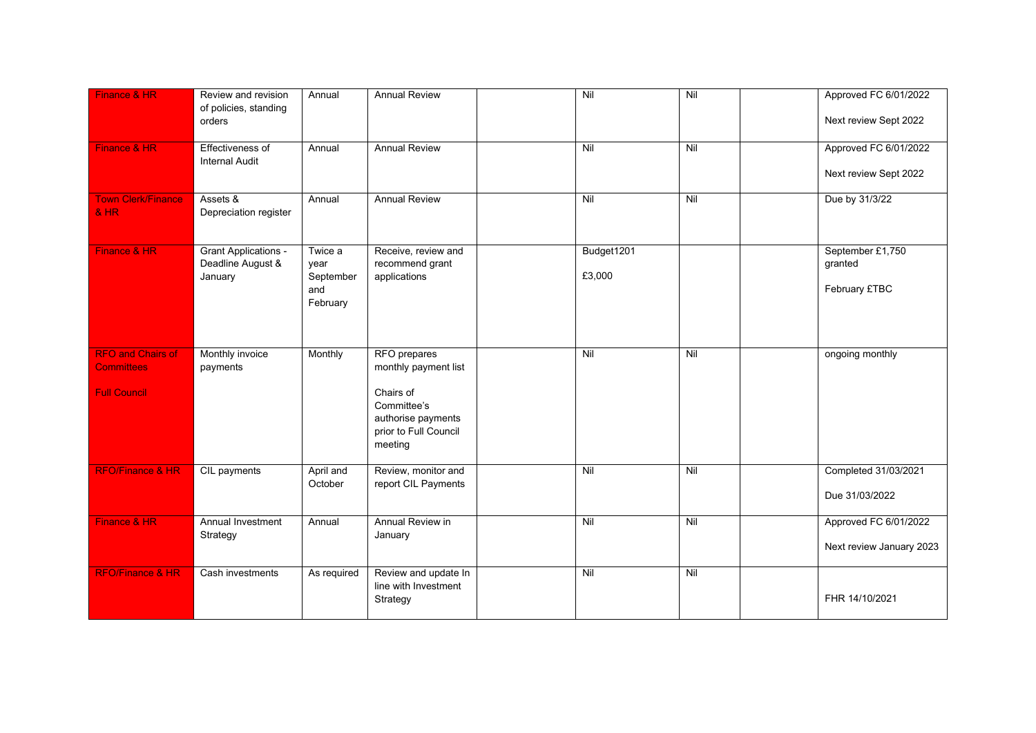| Finance & HR                                                         | Review and revision<br>of policies, standing<br>orders      | Annual                                          | <b>Annual Review</b>                                                                                                       | Nil                  | Nil            | Approved FC 6/01/2022<br>Next review Sept 2022    |
|----------------------------------------------------------------------|-------------------------------------------------------------|-------------------------------------------------|----------------------------------------------------------------------------------------------------------------------------|----------------------|----------------|---------------------------------------------------|
| Finance & HR                                                         | <b>Effectiveness of</b><br><b>Internal Audit</b>            | Annual                                          | <b>Annual Review</b>                                                                                                       | Nil                  | Nil            | Approved FC 6/01/2022<br>Next review Sept 2022    |
| <b>Town Clerk/Finance</b><br><b>&amp; HR</b>                         | Assets &<br>Depreciation register                           | Annual                                          | <b>Annual Review</b>                                                                                                       | Nil                  | Nil            | Due by 31/3/22                                    |
| Finance & HR                                                         | <b>Grant Applications -</b><br>Deadline August &<br>January | Twice a<br>year<br>September<br>and<br>February | Receive, review and<br>recommend grant<br>applications                                                                     | Budget1201<br>£3,000 |                | September £1,750<br>granted<br>February £TBC      |
| <b>RFO and Chairs of</b><br><b>Committees</b><br><b>Full Council</b> | Monthly invoice<br>payments                                 | Monthly                                         | RFO prepares<br>monthly payment list<br>Chairs of<br>Committee's<br>authorise payments<br>prior to Full Council<br>meeting | Nil                  | Nil            | ongoing monthly                                   |
| <b>RFO/Finance &amp; HR</b>                                          | CIL payments                                                | April and<br>October                            | Review, monitor and<br>report CIL Payments                                                                                 | Nil                  | Nil            | Completed 31/03/2021<br>Due 31/03/2022            |
| Finance & HR                                                         | Annual Investment<br>Strategy                               | Annual                                          | Annual Review in<br>January                                                                                                | Nil                  | Nil            | Approved FC 6/01/2022<br>Next review January 2023 |
| <b>RFO/Finance &amp; HR</b>                                          | Cash investments                                            | As required                                     | Review and update In<br>line with Investment<br>Strategy                                                                   | Nil                  | $\overline{N}$ | FHR 14/10/2021                                    |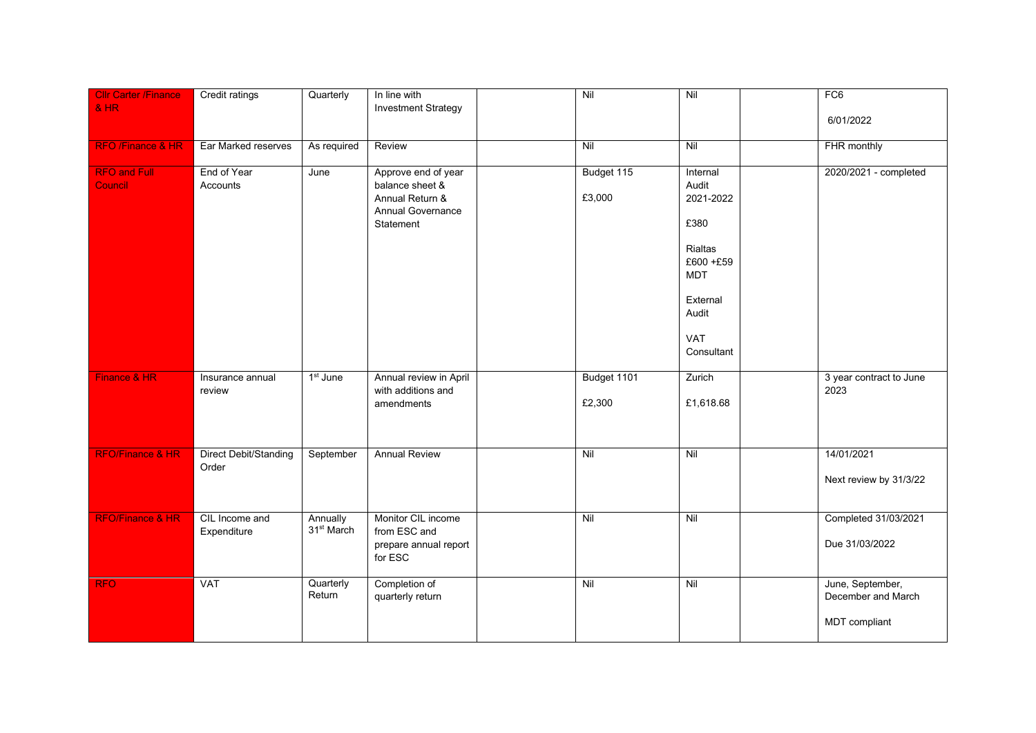| <b>Cllr Carter /Finance</b><br><b>&amp; HR</b> | Credit ratings                        | Quarterly                          | In line with<br><b>Investment Strategy</b>                                                  | Nil                   | Nil                                                                                                                    | FC <sub>6</sub><br>6/01/2022                            |
|------------------------------------------------|---------------------------------------|------------------------------------|---------------------------------------------------------------------------------------------|-----------------------|------------------------------------------------------------------------------------------------------------------------|---------------------------------------------------------|
| <b>RFO</b> /Finance & HR                       | Ear Marked reserves                   | As required                        | Review                                                                                      | Nil                   | Nil                                                                                                                    | FHR monthly                                             |
| <b>RFO and Full</b><br>Council                 | End of Year<br>Accounts               | June                               | Approve end of year<br>balance sheet &<br>Annual Return &<br>Annual Governance<br>Statement | Budget 115<br>£3,000  | Internal<br>Audit<br>2021-2022<br>£380<br>Rialtas<br>£600 +£59<br><b>MDT</b><br>External<br>Audit<br>VAT<br>Consultant | 2020/2021 - completed                                   |
| Finance & HR                                   | Insurance annual<br>review            | 1 <sup>st</sup> June               | Annual review in April<br>with additions and<br>amendments                                  | Budget 1101<br>£2,300 | Zurich<br>£1,618.68                                                                                                    | 3 year contract to June<br>2023                         |
| <b>RFO/Finance &amp; HR</b>                    | <b>Direct Debit/Standing</b><br>Order | September                          | <b>Annual Review</b>                                                                        | Nil                   | Nil                                                                                                                    | 14/01/2021<br>Next review by 31/3/22                    |
| <b>RFO/Finance &amp; HR</b>                    | CIL Income and<br>Expenditure         | Annually<br>31 <sup>st</sup> March | Monitor CIL income<br>from ESC and<br>prepare annual report<br>for ESC                      | Nil                   | Nil                                                                                                                    | Completed 31/03/2021<br>Due 31/03/2022                  |
| <b>RFO</b>                                     | <b>VAT</b>                            | Quarterly<br>Return                | Completion of<br>quarterly return                                                           | Nil                   | Nil                                                                                                                    | June, September,<br>December and March<br>MDT compliant |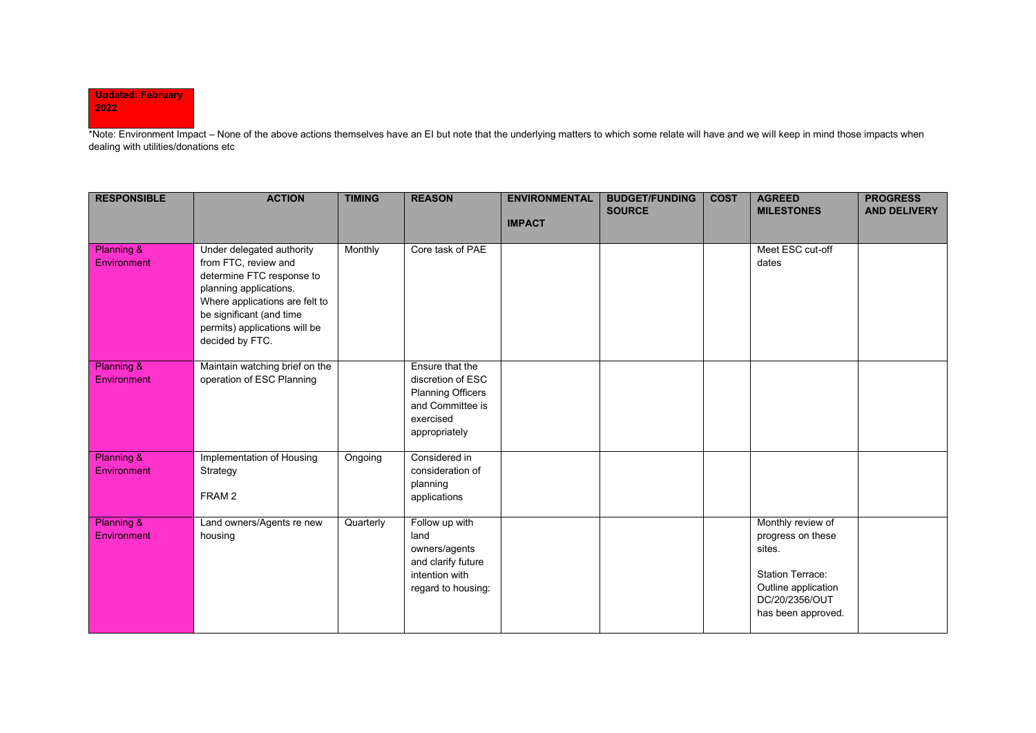## **Updated: February 2022**

\*Note: Environment Impact – None of the above actions themselves have an EI but note that the underlying matters to which some relate will have and we will keep in mind those impacts when dealing with utilities/donations etc

| <b>RESPONSIBLE</b>                   | <b>ACTION</b>                                                                                                                                                                                                              | <b>TIMING</b> | <b>REASON</b>                                                                                                      | <b>ENVIRONMENTAL</b><br><b>IMPACT</b> | <b>BUDGET/FUNDING</b><br><b>SOURCE</b> | <b>COST</b> | <b>AGREED</b><br><b>MILESTONES</b>                                                                                                         | <b>PROGRESS</b><br><b>AND DELIVERY</b> |
|--------------------------------------|----------------------------------------------------------------------------------------------------------------------------------------------------------------------------------------------------------------------------|---------------|--------------------------------------------------------------------------------------------------------------------|---------------------------------------|----------------------------------------|-------------|--------------------------------------------------------------------------------------------------------------------------------------------|----------------------------------------|
| <b>Planning &amp;</b><br>Environment | Under delegated authority<br>from FTC, review and<br>determine FTC response to<br>planning applications.<br>Where applications are felt to<br>be significant (and time<br>permits) applications will be<br>decided by FTC. | Monthly       | Core task of PAE                                                                                                   |                                       |                                        |             | Meet ESC cut-off<br>dates                                                                                                                  |                                        |
| <b>Planning &amp;</b><br>Environment | Maintain watching brief on the<br>operation of ESC Planning                                                                                                                                                                |               | Ensure that the<br>discretion of ESC<br><b>Planning Officers</b><br>and Committee is<br>exercised<br>appropriately |                                       |                                        |             |                                                                                                                                            |                                        |
| Planning &<br>Environment            | Implementation of Housing<br>Strategy<br>FRAM <sub>2</sub>                                                                                                                                                                 | Ongoing       | Considered in<br>consideration of<br>planning<br>applications                                                      |                                       |                                        |             |                                                                                                                                            |                                        |
| Planning &<br>Environment            | Land owners/Agents re new<br>housing                                                                                                                                                                                       | Quarterly     | Follow up with<br>land<br>owners/agents<br>and clarify future<br>intention with<br>regard to housing:              |                                       |                                        |             | Monthly review of<br>progress on these<br>sites.<br><b>Station Terrace:</b><br>Outline application<br>DC/20/2356/OUT<br>has been approved. |                                        |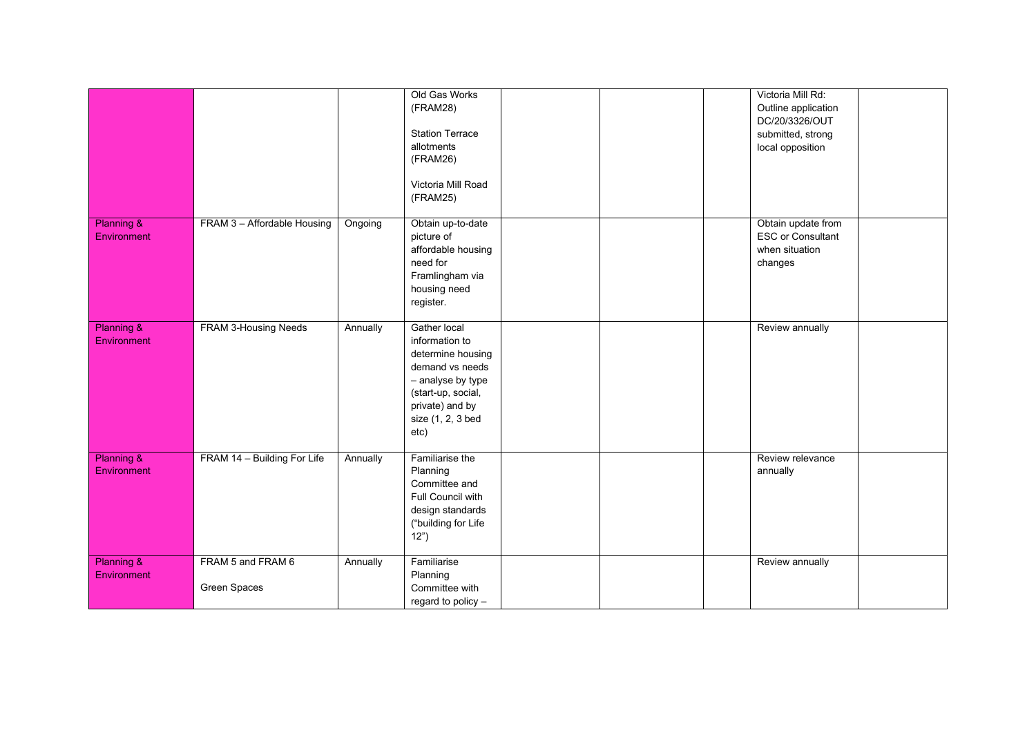|                                      |                                   |          | Old Gas Works<br>(FRAM28)<br><b>Station Terrace</b><br>allotments<br>(FRAM26)<br>Victoria Mill Road<br>(FRAM25)                                                   |  | Victoria Mill Rd:<br>Outline application<br>DC/20/3326/OUT<br>submitted, strong<br>local opposition |  |
|--------------------------------------|-----------------------------------|----------|-------------------------------------------------------------------------------------------------------------------------------------------------------------------|--|-----------------------------------------------------------------------------------------------------|--|
| <b>Planning &amp;</b><br>Environment | FRAM 3 - Affordable Housing       | Ongoing  | Obtain up-to-date<br>picture of<br>affordable housing<br>need for<br>Framlingham via<br>housing need<br>register.                                                 |  | Obtain update from<br><b>ESC or Consultant</b><br>when situation<br>changes                         |  |
| Planning &<br>Environment            | FRAM 3-Housing Needs              | Annually | Gather local<br>information to<br>determine housing<br>demand vs needs<br>- analyse by type<br>(start-up, social,<br>private) and by<br>size (1, 2, 3 bed<br>etc) |  | Review annually                                                                                     |  |
| <b>Planning &amp;</b><br>Environment | FRAM 14 - Building For Life       | Annually | Familiarise the<br>Planning<br>Committee and<br>Full Council with<br>design standards<br>("building for Life<br>12")                                              |  | Review relevance<br>annually                                                                        |  |
| <b>Planning &amp;</b><br>Environment | FRAM 5 and FRAM 6<br>Green Spaces | Annually | Familiarise<br>Planning<br>Committee with<br>regard to policy -                                                                                                   |  | Review annually                                                                                     |  |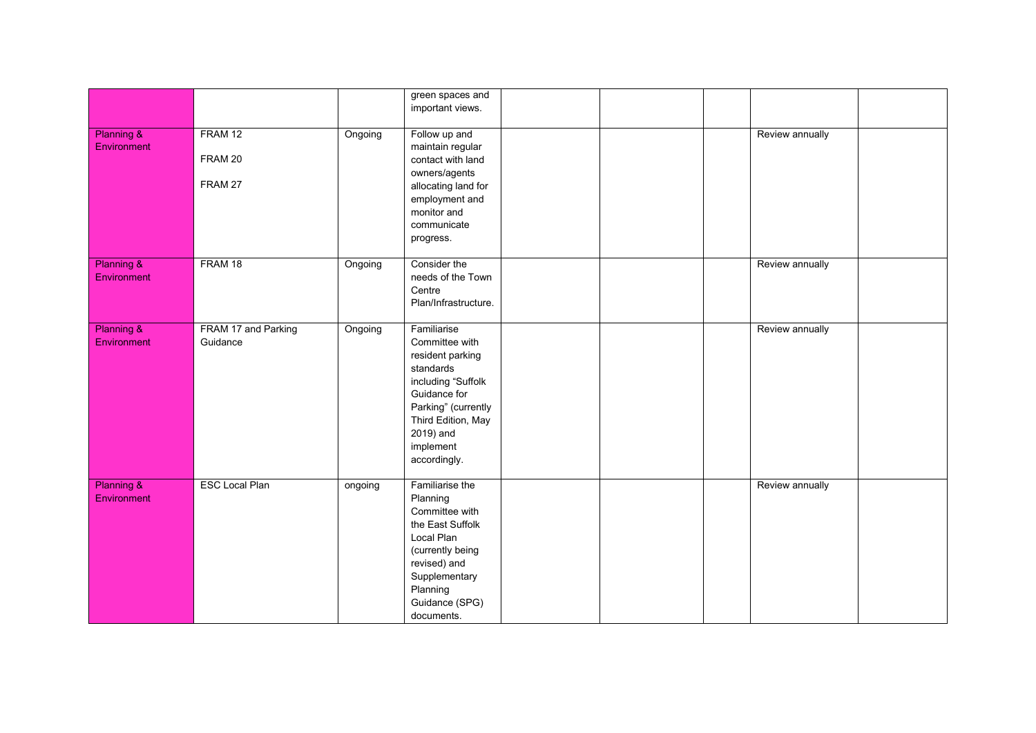|                                      |                                 |         | green spaces and<br>important views.                                                                                                                                                        |  |                 |  |
|--------------------------------------|---------------------------------|---------|---------------------------------------------------------------------------------------------------------------------------------------------------------------------------------------------|--|-----------------|--|
| <b>Planning &amp;</b><br>Environment | FRAM 12<br>FRAM 20<br>FRAM 27   | Ongoing | Follow up and<br>maintain regular<br>contact with land<br>owners/agents<br>allocating land for<br>employment and<br>monitor and<br>communicate<br>progress.                                 |  | Review annually |  |
| Planning &<br>Environment            | FRAM 18                         | Ongoing | Consider the<br>needs of the Town<br>Centre<br>Plan/Infrastructure.                                                                                                                         |  | Review annually |  |
| Planning &<br>Environment            | FRAM 17 and Parking<br>Guidance | Ongoing | Familiarise<br>Committee with<br>resident parking<br>standards<br>including "Suffolk<br>Guidance for<br>Parking" (currently<br>Third Edition, May<br>2019) and<br>implement<br>accordingly. |  | Review annually |  |
| Planning &<br>Environment            | <b>ESC Local Plan</b>           | ongoing | Familiarise the<br>Planning<br>Committee with<br>the East Suffolk<br>Local Plan<br>(currently being<br>revised) and<br>Supplementary<br>Planning<br>Guidance (SPG)<br>documents.            |  | Review annually |  |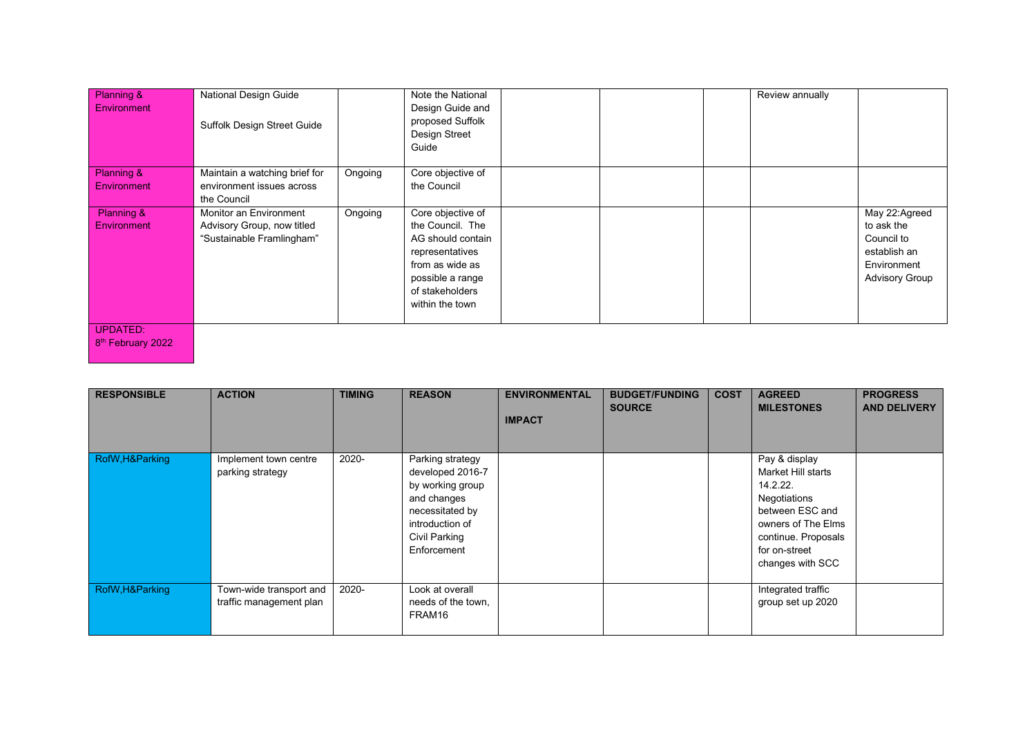| Planning &<br>Environment            | National Design Guide<br>Suffolk Design Street Guide                              |         | Note the National<br>Design Guide and<br>proposed Suffolk<br>Design Street<br>Guide                                                                        |  | Review annually |                                                                                                   |
|--------------------------------------|-----------------------------------------------------------------------------------|---------|------------------------------------------------------------------------------------------------------------------------------------------------------------|--|-----------------|---------------------------------------------------------------------------------------------------|
| Planning &<br><b>Environment</b>     | Maintain a watching brief for<br>environment issues across<br>the Council         | Ongoing | Core objective of<br>the Council                                                                                                                           |  |                 |                                                                                                   |
| <b>Planning &amp;</b><br>Environment | Monitor an Environment<br>Advisory Group, now titled<br>"Sustainable Framlingham" | Ongoing | Core objective of<br>the Council. The<br>AG should contain<br>representatives<br>from as wide as<br>possible a range<br>of stakeholders<br>within the town |  |                 | May 22:Agreed<br>to ask the<br>Council to<br>establish an<br>Environment<br><b>Advisory Group</b> |
| <b>UPDATED:</b>                      |                                                                                   |         |                                                                                                                                                            |  |                 |                                                                                                   |

8<sup>th</sup> February 2022

| <b>RESPONSIBLE</b> | <b>ACTION</b>                                      | <b>TIMING</b> | <b>REASON</b>                                                                                                                                 | <b>ENVIRONMENTAL</b><br><b>IMPACT</b> | <b>BUDGET/FUNDING</b><br><b>SOURCE</b> | <b>COST</b> | <b>AGREED</b><br><b>MILESTONES</b>                                                                                                                                   | <b>PROGRESS</b><br><b>AND DELIVERY</b> |
|--------------------|----------------------------------------------------|---------------|-----------------------------------------------------------------------------------------------------------------------------------------------|---------------------------------------|----------------------------------------|-------------|----------------------------------------------------------------------------------------------------------------------------------------------------------------------|----------------------------------------|
| RofW, H& Parking   | Implement town centre<br>parking strategy          | 2020-         | Parking strategy<br>developed 2016-7<br>by working group<br>and changes<br>necessitated by<br>introduction of<br>Civil Parking<br>Enforcement |                                       |                                        |             | Pay & display<br>Market Hill starts<br>14.2.22.<br>Negotiations<br>between ESC and<br>owners of The Elms<br>continue. Proposals<br>for on-street<br>changes with SCC |                                        |
| RofW, H& Parking   | Town-wide transport and<br>traffic management plan | 2020-         | Look at overall<br>needs of the town.<br>FRAM16                                                                                               |                                       |                                        |             | Integrated traffic<br>group set up 2020                                                                                                                              |                                        |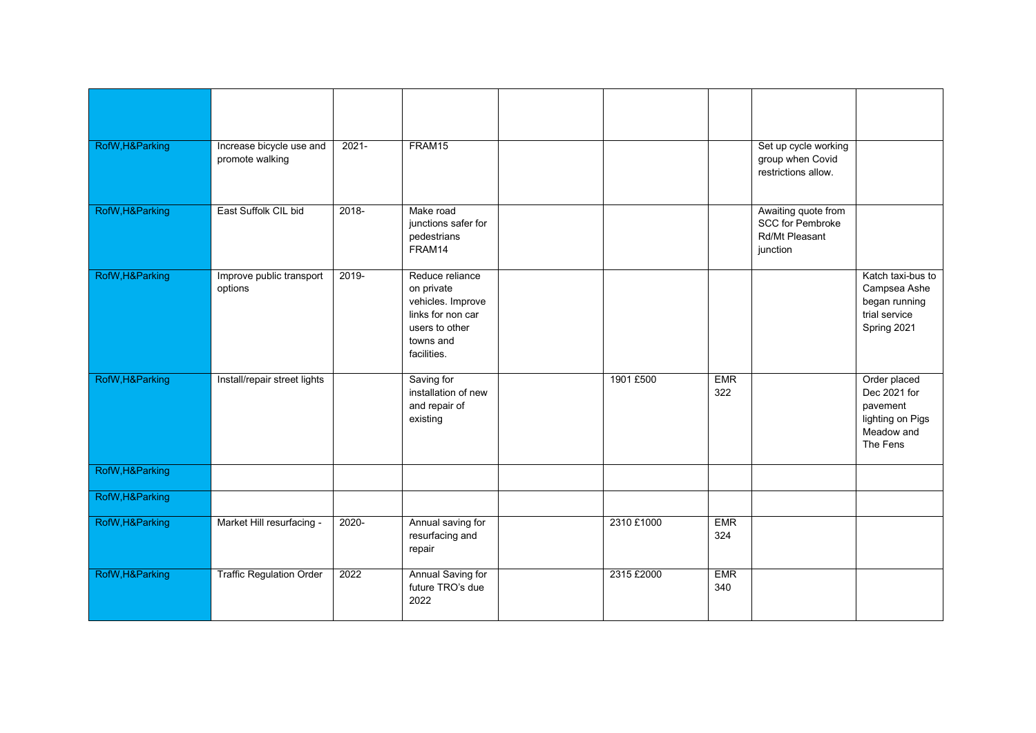| RofW, H& Parking | Increase bicycle use and<br>promote walking | $2021 -$ | FRAM15                                                                                                                |            |                   | Set up cycle working<br>group when Covid<br>restrictions allow.              |                                                                                        |
|------------------|---------------------------------------------|----------|-----------------------------------------------------------------------------------------------------------------------|------------|-------------------|------------------------------------------------------------------------------|----------------------------------------------------------------------------------------|
| RofW, H& Parking | East Suffolk CIL bid                        | $2018 -$ | Make road<br>junctions safer for<br>pedestrians<br>FRAM14                                                             |            |                   | Awaiting quote from<br><b>SCC for Pembroke</b><br>Rd/Mt Pleasant<br>junction |                                                                                        |
| RofW, H& Parking | Improve public transport<br>options         | 2019-    | Reduce reliance<br>on private<br>vehicles. Improve<br>links for non car<br>users to other<br>towns and<br>facilities. |            |                   |                                                                              | Katch taxi-bus to<br>Campsea Ashe<br>began running<br>trial service<br>Spring 2021     |
| RofW, H& Parking | Install/repair street lights                |          | Saving for<br>installation of new<br>and repair of<br>existing                                                        | 1901 £500  | <b>EMR</b><br>322 |                                                                              | Order placed<br>Dec 2021 for<br>pavement<br>lighting on Pigs<br>Meadow and<br>The Fens |
| RofW, H& Parking |                                             |          |                                                                                                                       |            |                   |                                                                              |                                                                                        |
| RofW, H& Parking |                                             |          |                                                                                                                       |            |                   |                                                                              |                                                                                        |
| RofW, H& Parking | Market Hill resurfacing -                   | $2020 -$ | Annual saving for<br>resurfacing and<br>repair                                                                        | 2310 £1000 | <b>EMR</b><br>324 |                                                                              |                                                                                        |
| RofW, H& Parking | <b>Traffic Regulation Order</b>             | 2022     | Annual Saving for<br>future TRO's due<br>2022                                                                         | 2315 £2000 | <b>EMR</b><br>340 |                                                                              |                                                                                        |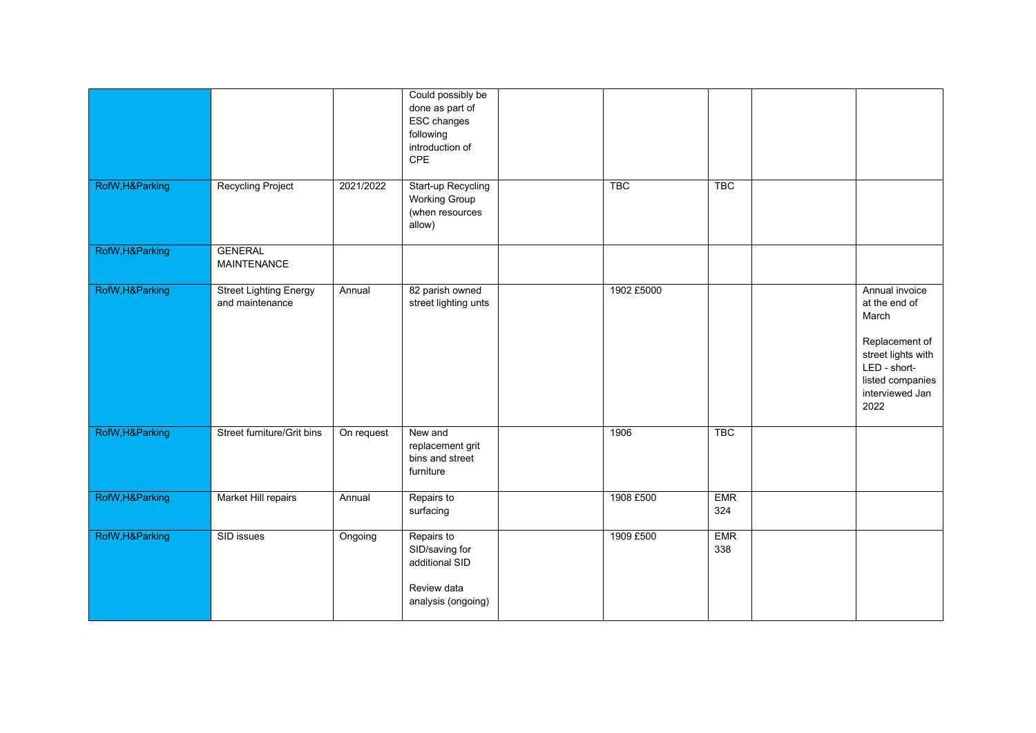|                  |                                                  |            | Could possibly be<br>done as part of<br>ESC changes<br>following<br>introduction of<br><b>CPE</b> |            |                   |                                                                                                                                                 |
|------------------|--------------------------------------------------|------------|---------------------------------------------------------------------------------------------------|------------|-------------------|-------------------------------------------------------------------------------------------------------------------------------------------------|
| RofW, H& Parking | <b>Recycling Project</b>                         | 2021/2022  | <b>Start-up Recycling</b><br><b>Working Group</b><br>(when resources<br>allow)                    | <b>TBC</b> | <b>TBC</b>        |                                                                                                                                                 |
| RofW, H& Parking | <b>GENERAL</b><br><b>MAINTENANCE</b>             |            |                                                                                                   |            |                   |                                                                                                                                                 |
| RofW, H& Parking | <b>Street Lighting Energy</b><br>and maintenance | Annual     | 82 parish owned<br>street lighting unts                                                           | 1902 £5000 |                   | Annual invoice<br>at the end of<br>March<br>Replacement of<br>street lights with<br>LED - short-<br>listed companies<br>interviewed Jan<br>2022 |
| RofW, H& Parking | Street furniture/Grit bins                       | On request | New and<br>replacement grit<br>bins and street<br>furniture                                       | 1906       | <b>TBC</b>        |                                                                                                                                                 |
| RofW, H& Parking | Market Hill repairs                              | Annual     | Repairs to<br>surfacing                                                                           | 1908 £500  | <b>EMR</b><br>324 |                                                                                                                                                 |
| RofW, H& Parking | SID issues                                       | Ongoing    | Repairs to<br>SID/saving for<br>additional SID<br>Review data<br>analysis (ongoing)               | 1909 £500  | <b>EMR</b><br>338 |                                                                                                                                                 |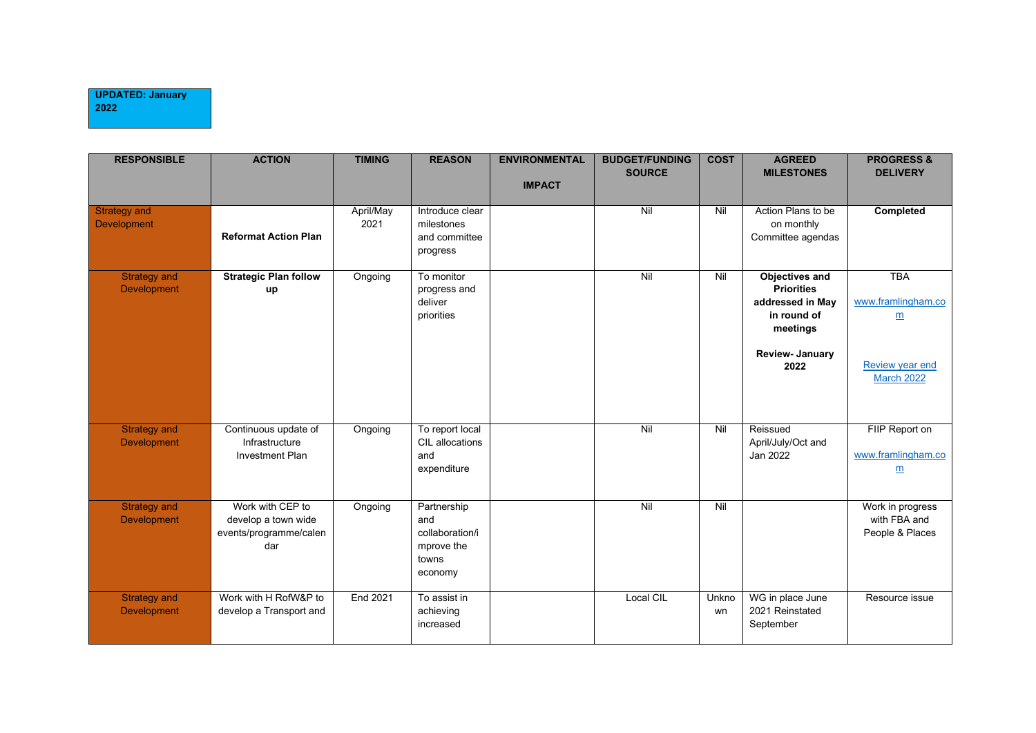| <b>RESPONSIBLE</b>                        | <b>ACTION</b>                                                            | <b>TIMING</b>     | <b>REASON</b>                                                           | <b>ENVIRONMENTAL</b><br><b>IMPACT</b> | <b>BUDGET/FUNDING</b><br><b>SOURCE</b> | <b>COST</b> | <b>AGREED</b><br><b>MILESTONES</b>                                                                                  | <b>PROGRESS &amp;</b><br><b>DELIVERY</b>                                                           |
|-------------------------------------------|--------------------------------------------------------------------------|-------------------|-------------------------------------------------------------------------|---------------------------------------|----------------------------------------|-------------|---------------------------------------------------------------------------------------------------------------------|----------------------------------------------------------------------------------------------------|
| <b>Strategy and</b><br>Development        | <b>Reformat Action Plan</b>                                              | April/May<br>2021 | Introduce clear<br>milestones<br>and committee<br>progress              |                                       | $\overline{N}$                         | Nil         | Action Plans to be<br>on monthly<br>Committee agendas                                                               | <b>Completed</b>                                                                                   |
| <b>Strategy and</b><br><b>Development</b> | <b>Strategic Plan follow</b><br>up                                       | Ongoing           | To monitor<br>progress and<br>deliver<br>priorities                     |                                       | $\overline{N}$                         | Nil         | Objectives and<br><b>Priorities</b><br>addressed in May<br>in round of<br>meetings<br><b>Review-January</b><br>2022 | <b>TBA</b><br>www.framlingham.co<br>$\underline{m}$<br><b>Review year end</b><br><b>March 2022</b> |
| <b>Strategy and</b><br>Development        | Continuous update of<br>Infrastructure<br><b>Investment Plan</b>         | Ongoing           | To report local<br>CIL allocations<br>and<br>expenditure                |                                       | Nil                                    | Nil         | Reissued<br>April/July/Oct and<br>Jan 2022                                                                          | FIIP Report on<br>www.framlingham.co<br>$\underline{m}$                                            |
| <b>Strategy and</b><br><b>Development</b> | Work with CEP to<br>develop a town wide<br>events/programme/calen<br>dar | Ongoing           | Partnership<br>and<br>collaboration/i<br>mprove the<br>towns<br>economy |                                       | Nil                                    | Nil         |                                                                                                                     | Work in progress<br>with FBA and<br>People & Places                                                |
| <b>Strategy and</b><br><b>Development</b> | Work with H RofW&P to<br>develop a Transport and                         | End 2021          | To assist in<br>achieving<br>increased                                  |                                       | Local CIL                              | Unkno<br>wn | WG in place June<br>2021 Reinstated<br>September                                                                    | Resource issue                                                                                     |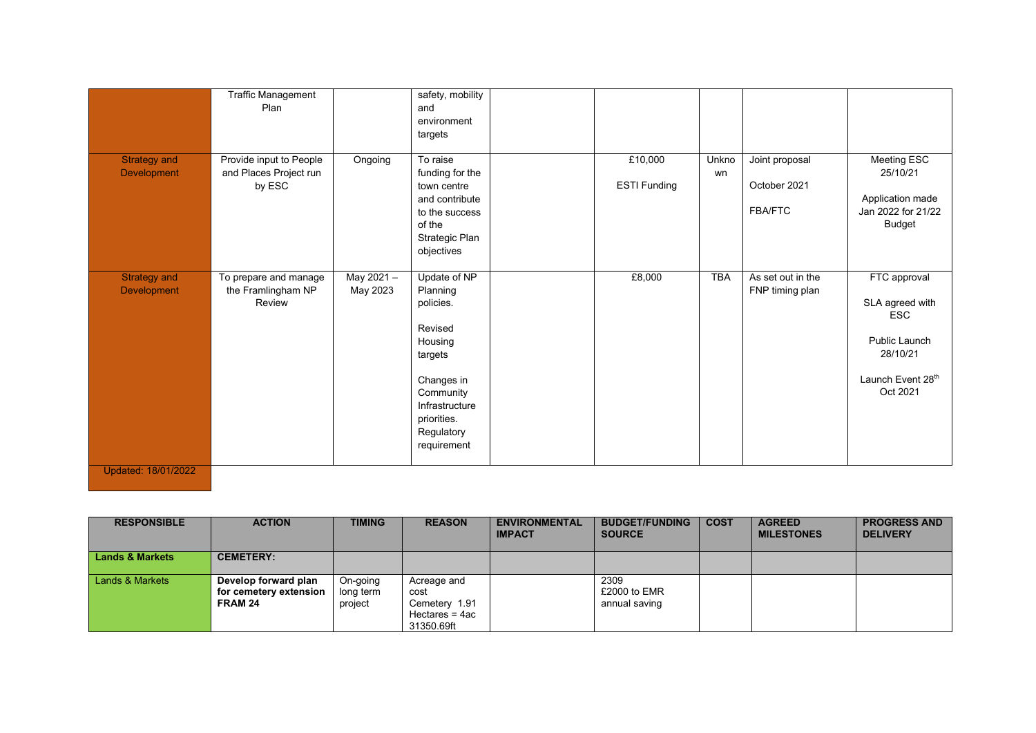|                                           | <b>Traffic Management</b><br>Plan                           |                       | safety, mobility<br>and<br>environment<br>targets                                                                                                               |                                |             |                                                  |                                                                                                             |
|-------------------------------------------|-------------------------------------------------------------|-----------------------|-----------------------------------------------------------------------------------------------------------------------------------------------------------------|--------------------------------|-------------|--------------------------------------------------|-------------------------------------------------------------------------------------------------------------|
| <b>Strategy and</b><br><b>Development</b> | Provide input to People<br>and Places Project run<br>by ESC | Ongoing               | To raise<br>funding for the<br>town centre<br>and contribute<br>to the success<br>of the<br>Strategic Plan<br>objectives                                        | £10,000<br><b>ESTI Funding</b> | Unkno<br>wn | Joint proposal<br>October 2021<br><b>FBA/FTC</b> | Meeting ESC<br>25/10/21<br>Application made<br>Jan 2022 for 21/22<br><b>Budget</b>                          |
| <b>Strategy and</b><br><b>Development</b> | To prepare and manage<br>the Framlingham NP<br>Review       | May 2021-<br>May 2023 | Update of NP<br>Planning<br>policies.<br>Revised<br>Housing<br>targets<br>Changes in<br>Community<br>Infrastructure<br>priorities.<br>Regulatory<br>requirement | £8,000                         | <b>TBA</b>  | As set out in the<br>FNP timing plan             | FTC approval<br>SLA agreed with<br><b>ESC</b><br>Public Launch<br>28/10/21<br>Launch Event 28th<br>Oct 2021 |
| Updated: 18/01/2022                       |                                                             |                       |                                                                                                                                                                 |                                |             |                                                  |                                                                                                             |

| <b>RESPONSIBLE</b>         | <b>ACTION</b>                                             | <b>TIMING</b>                    | <b>REASON</b>                                                        | <b>ENVIRONMENTAL</b><br><b>IMPACT</b> | <b>BUDGET/FUNDING</b><br><b>SOURCE</b> | <b>COST</b> | <b>AGREED</b><br><b>MILESTONES</b> | <b>PROGRESS AND</b><br><b>DELIVERY</b> |
|----------------------------|-----------------------------------------------------------|----------------------------------|----------------------------------------------------------------------|---------------------------------------|----------------------------------------|-------------|------------------------------------|----------------------------------------|
| <b>Lands &amp; Markets</b> | <b>CEMETERY:</b>                                          |                                  |                                                                      |                                       |                                        |             |                                    |                                        |
| Lands & Markets            | Develop forward plan<br>for cemetery extension<br>FRAM 24 | On-going<br>long term<br>project | Acreage and<br>cost<br>Cemetery 1.91<br>Hectares = 4ac<br>31350.69ft |                                       | 2309<br>£2000 to EMR<br>annual saving  |             |                                    |                                        |

Updated: 18/01/2022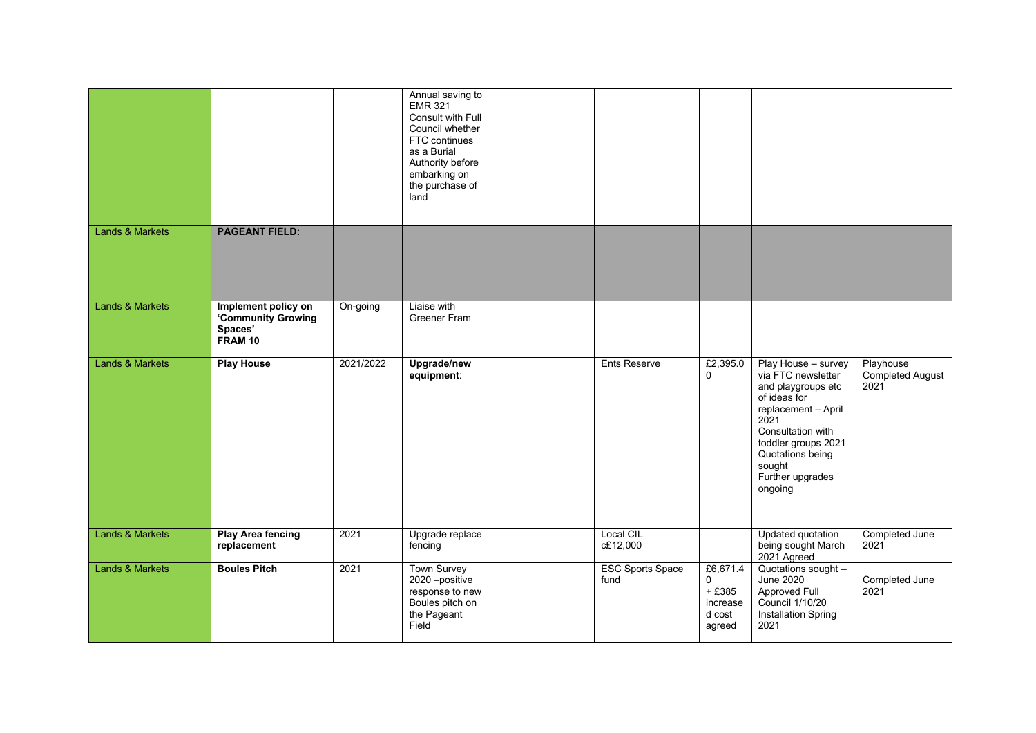|                            |                                                                 |           | Annual saving to<br><b>EMR 321</b><br>Consult with Full<br>Council whether<br>FTC continues<br>as a Burial<br>Authority before<br>embarking on<br>the purchase of<br>land |                                 |                                                          |                                                                                                                                                                                                                         |                                       |
|----------------------------|-----------------------------------------------------------------|-----------|---------------------------------------------------------------------------------------------------------------------------------------------------------------------------|---------------------------------|----------------------------------------------------------|-------------------------------------------------------------------------------------------------------------------------------------------------------------------------------------------------------------------------|---------------------------------------|
| <b>Lands &amp; Markets</b> | <b>PAGEANT FIELD:</b>                                           |           |                                                                                                                                                                           |                                 |                                                          |                                                                                                                                                                                                                         |                                       |
| <b>Lands &amp; Markets</b> | Implement policy on<br>'Community Growing<br>Spaces'<br>FRAM 10 | On-going  | Liaise with<br>Greener Fram                                                                                                                                               |                                 |                                                          |                                                                                                                                                                                                                         |                                       |
| <b>Lands &amp; Markets</b> | <b>Play House</b>                                               | 2021/2022 | Upgrade/new<br>equipment:                                                                                                                                                 | Ents Reserve                    | £2,395.0<br>0                                            | Play House - survey<br>via FTC newsletter<br>and playgroups etc<br>of ideas for<br>replacement - April<br>2021<br>Consultation with<br>toddler groups 2021<br>Quotations being<br>sought<br>Further upgrades<br>ongoing | Playhouse<br>Completed August<br>2021 |
| <b>Lands &amp; Markets</b> | <b>Play Area fencing</b><br>replacement                         | 2021      | Upgrade replace<br>fencing                                                                                                                                                | Local CIL<br>c£12,000           |                                                          | Updated quotation<br>being sought March<br>2021 Agreed                                                                                                                                                                  | Completed June<br>2021                |
| <b>Lands &amp; Markets</b> | <b>Boules Pitch</b>                                             | 2021      | <b>Town Survey</b><br>2020 -positive<br>response to new<br>Boules pitch on<br>the Pageant<br>Field                                                                        | <b>ESC Sports Space</b><br>fund | £6,671.4<br>0<br>$+£385$<br>increase<br>d cost<br>agreed | Quotations sought -<br><b>June 2020</b><br>Approved Full<br>Council 1/10/20<br><b>Installation Spring</b><br>2021                                                                                                       | Completed June<br>2021                |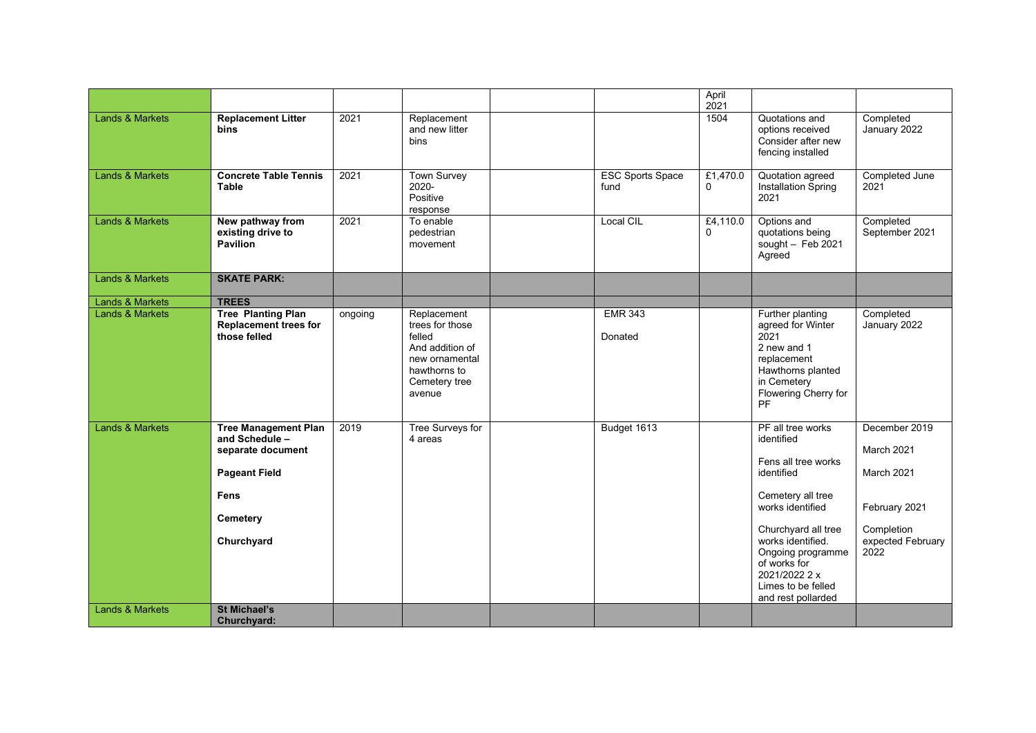|                            |                                                                                                                                     |         |                                                                                                                          |                                 | April<br>2021        |                                                                                                                                                                                                                                                             |                                                                                                       |
|----------------------------|-------------------------------------------------------------------------------------------------------------------------------------|---------|--------------------------------------------------------------------------------------------------------------------------|---------------------------------|----------------------|-------------------------------------------------------------------------------------------------------------------------------------------------------------------------------------------------------------------------------------------------------------|-------------------------------------------------------------------------------------------------------|
| Lands & Markets            | <b>Replacement Litter</b><br><b>bins</b>                                                                                            | 2021    | Replacement<br>and new litter<br>bins                                                                                    |                                 | 1504                 | Quotations and<br>options received<br>Consider after new<br>fencing installed                                                                                                                                                                               | Completed<br>January 2022                                                                             |
| <b>Lands &amp; Markets</b> | <b>Concrete Table Tennis</b><br><b>Table</b>                                                                                        | 2021    | <b>Town Survey</b><br>2020-<br>Positive<br>response                                                                      | <b>ESC Sports Space</b><br>fund | £1,470.0<br>$\Omega$ | Quotation agreed<br>Installation Spring<br>2021                                                                                                                                                                                                             | Completed June<br>2021                                                                                |
| <b>Lands &amp; Markets</b> | New pathway from<br>existing drive to<br><b>Pavilion</b>                                                                            | 2021    | To enable<br>pedestrian<br>movement                                                                                      | Local CIL                       | £4,110.0<br>0        | Options and<br>quotations being<br>sought $-$ Feb 2021<br>Agreed                                                                                                                                                                                            | Completed<br>September 2021                                                                           |
| <b>Lands &amp; Markets</b> | <b>SKATE PARK:</b>                                                                                                                  |         |                                                                                                                          |                                 |                      |                                                                                                                                                                                                                                                             |                                                                                                       |
| Lands & Markets            | <b>TREES</b>                                                                                                                        |         |                                                                                                                          |                                 |                      |                                                                                                                                                                                                                                                             |                                                                                                       |
| <b>Lands &amp; Markets</b> | <b>Tree Planting Plan</b><br><b>Replacement trees for</b><br>those felled                                                           | ongoing | Replacement<br>trees for those<br>felled<br>And addition of<br>new ornamental<br>hawthorns to<br>Cemetery tree<br>avenue | <b>EMR 343</b><br>Donated       |                      | Further planting<br>agreed for Winter<br>2021<br>2 new and 1<br>replacement<br>Hawthorns planted<br>in Cemetery<br>Flowering Cherry for<br><b>PF</b>                                                                                                        | Completed<br>January 2022                                                                             |
| Lands & Markets            | <b>Tree Management Plan</b><br>and Schedule -<br>separate document<br><b>Pageant Field</b><br><b>Fens</b><br>Cemetery<br>Churchyard | 2019    | <b>Tree Surveys for</b><br>4 areas                                                                                       | Budget 1613                     |                      | PF all tree works<br>identified<br>Fens all tree works<br>identified<br>Cemetery all tree<br>works identified<br>Churchyard all tree<br>works identified.<br>Ongoing programme<br>of works for<br>2021/2022 2 x<br>Limes to be felled<br>and rest pollarded | December 2019<br>March 2021<br>March 2021<br>February 2021<br>Completion<br>expected February<br>2022 |
| <b>Lands &amp; Markets</b> | <b>St Michael's</b><br>Churchyard:                                                                                                  |         |                                                                                                                          |                                 |                      |                                                                                                                                                                                                                                                             |                                                                                                       |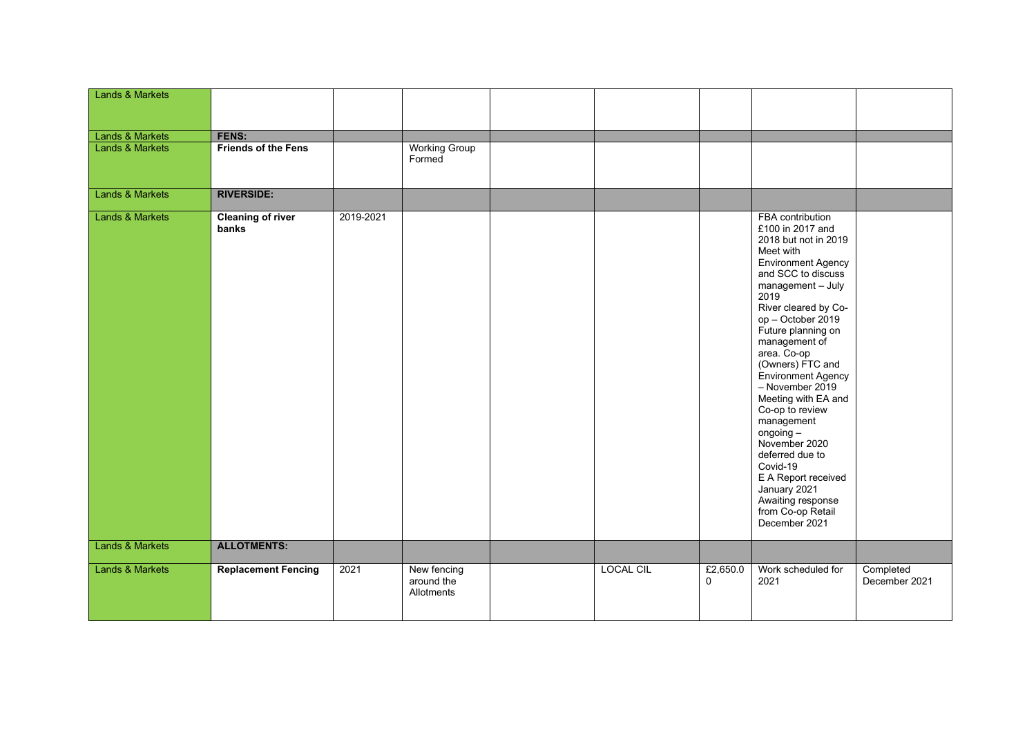| <b>Lands &amp; Markets</b> |                                   |           |                                         |                  |                      |                                                                                                                                                                                                                                                                                                                                                                                                                                                                                                                                                    |                            |
|----------------------------|-----------------------------------|-----------|-----------------------------------------|------------------|----------------------|----------------------------------------------------------------------------------------------------------------------------------------------------------------------------------------------------------------------------------------------------------------------------------------------------------------------------------------------------------------------------------------------------------------------------------------------------------------------------------------------------------------------------------------------------|----------------------------|
|                            |                                   |           |                                         |                  |                      |                                                                                                                                                                                                                                                                                                                                                                                                                                                                                                                                                    |                            |
| <b>Lands &amp; Markets</b> | FENS:                             |           |                                         |                  |                      |                                                                                                                                                                                                                                                                                                                                                                                                                                                                                                                                                    |                            |
| <b>Lands &amp; Markets</b> | <b>Friends of the Fens</b>        |           | <b>Working Group</b><br>Formed          |                  |                      |                                                                                                                                                                                                                                                                                                                                                                                                                                                                                                                                                    |                            |
| <b>Lands &amp; Markets</b> | <b>RIVERSIDE:</b>                 |           |                                         |                  |                      |                                                                                                                                                                                                                                                                                                                                                                                                                                                                                                                                                    |                            |
| Lands & Markets            | <b>Cleaning of river</b><br>banks | 2019-2021 |                                         |                  |                      | FBA contribution<br>£100 in 2017 and<br>2018 but not in 2019<br>Meet with<br><b>Environment Agency</b><br>and SCC to discuss<br>management - July<br>2019<br>River cleared by Co-<br>op - October 2019<br>Future planning on<br>management of<br>area. Co-op<br>(Owners) FTC and<br>Environment Agency<br>- November 2019<br>Meeting with EA and<br>Co-op to review<br>management<br>$ongoing -$<br>November 2020<br>deferred due to<br>Covid-19<br>E A Report received<br>January 2021<br>Awaiting response<br>from Co-op Retail<br>December 2021 |                            |
| <b>Lands &amp; Markets</b> | <b>ALLOTMENTS:</b>                |           |                                         |                  |                      |                                                                                                                                                                                                                                                                                                                                                                                                                                                                                                                                                    |                            |
| Lands & Markets            | <b>Replacement Fencing</b>        | 2021      | New fencing<br>around the<br>Allotments | <b>LOCAL CIL</b> | £2,650.0<br>$\Omega$ | Work scheduled for<br>2021                                                                                                                                                                                                                                                                                                                                                                                                                                                                                                                         | Completed<br>December 2021 |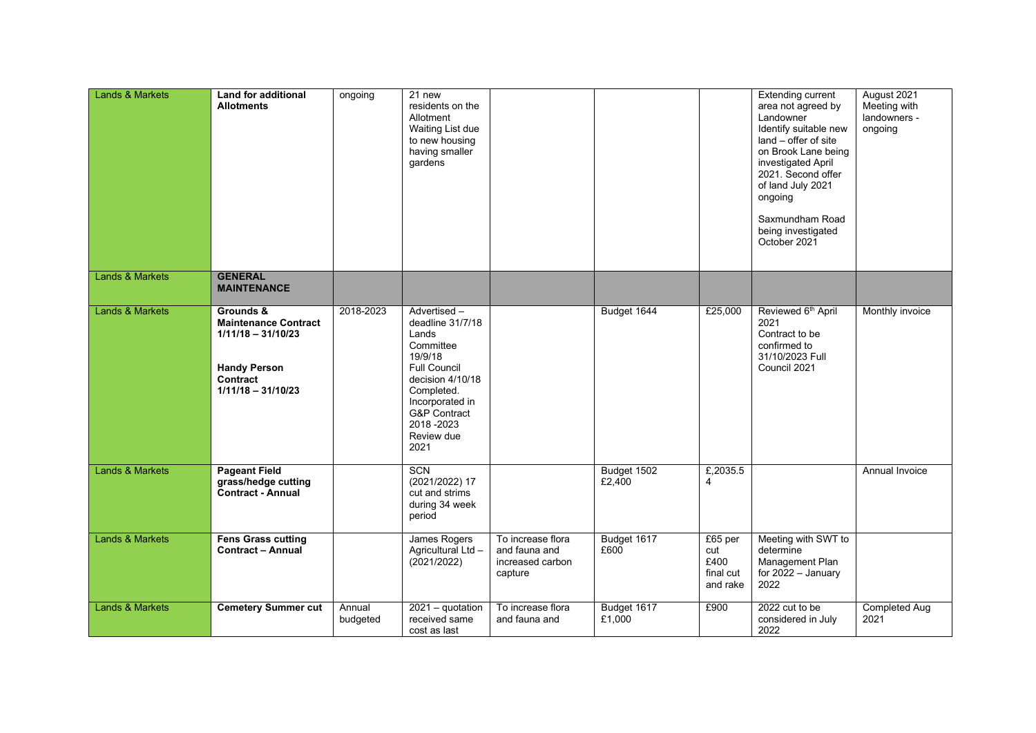| <b>Lands &amp; Markets</b> | <b>Land for additional</b><br><b>Allotments</b>                                                                             | ongoing            | $21$ new<br>residents on the<br>Allotment<br>Waiting List due<br>to new housing<br>having smaller<br>gardens                                                                                               |                                                                   |                       |                                                 | <b>Extending current</b><br>area not agreed by<br>Landowner<br>Identify suitable new<br>land – offer of site<br>on Brook Lane being<br>investigated April<br>2021. Second offer<br>of land July 2021<br>ongoing<br>Saxmundham Road<br>being investigated<br>October 2021 | August 2021<br>Meeting with<br>landowners -<br>ongoing |
|----------------------------|-----------------------------------------------------------------------------------------------------------------------------|--------------------|------------------------------------------------------------------------------------------------------------------------------------------------------------------------------------------------------------|-------------------------------------------------------------------|-----------------------|-------------------------------------------------|--------------------------------------------------------------------------------------------------------------------------------------------------------------------------------------------------------------------------------------------------------------------------|--------------------------------------------------------|
| Lands & Markets            | <b>GENERAL</b><br><b>MAINTENANCE</b>                                                                                        |                    |                                                                                                                                                                                                            |                                                                   |                       |                                                 |                                                                                                                                                                                                                                                                          |                                                        |
| <b>Lands &amp; Markets</b> | Grounds &<br><b>Maintenance Contract</b><br>$1/11/18 - 31/10/23$<br><b>Handy Person</b><br>Contract<br>$1/11/18 - 31/10/23$ | 2018-2023          | Advertised-<br>deadline 31/7/18<br>Lands<br>Committee<br>19/9/18<br><b>Full Council</b><br>decision 4/10/18<br>Completed.<br>Incorporated in<br><b>G&amp;P</b> Contract<br>2018-2023<br>Review due<br>2021 |                                                                   | Budget 1644           | £25,000                                         | Reviewed 6 <sup>th</sup> April<br>2021<br>Contract to be<br>confirmed to<br>31/10/2023 Full<br>Council 2021                                                                                                                                                              | Monthly invoice                                        |
| <b>Lands &amp; Markets</b> | <b>Pageant Field</b><br>grass/hedge cutting<br><b>Contract - Annual</b>                                                     |                    | <b>SCN</b><br>(2021/2022) 17<br>cut and strims<br>during 34 week<br>period                                                                                                                                 |                                                                   | Budget 1502<br>£2,400 | £,2035.5<br>$\overline{4}$                      |                                                                                                                                                                                                                                                                          | Annual Invoice                                         |
| Lands & Markets            | <b>Fens Grass cutting</b><br><b>Contract - Annual</b>                                                                       |                    | James Rogers<br>Agricultural Ltd -<br>(2021/2022)                                                                                                                                                          | To increase flora<br>and fauna and<br>increased carbon<br>capture | Budget 1617<br>£600   | £65 per<br>cut<br>£400<br>final cut<br>and rake | Meeting with SWT to<br>determine<br>Management Plan<br>for $2022 -$ January<br>2022                                                                                                                                                                                      |                                                        |
| Lands & Markets            | <b>Cemetery Summer cut</b>                                                                                                  | Annual<br>budgeted | 2021 - quotation<br>received same<br>cost as last                                                                                                                                                          | To increase flora<br>and fauna and                                | Budget 1617<br>£1,000 | £900                                            | 2022 cut to be<br>considered in July<br>2022                                                                                                                                                                                                                             | <b>Completed Aug</b><br>2021                           |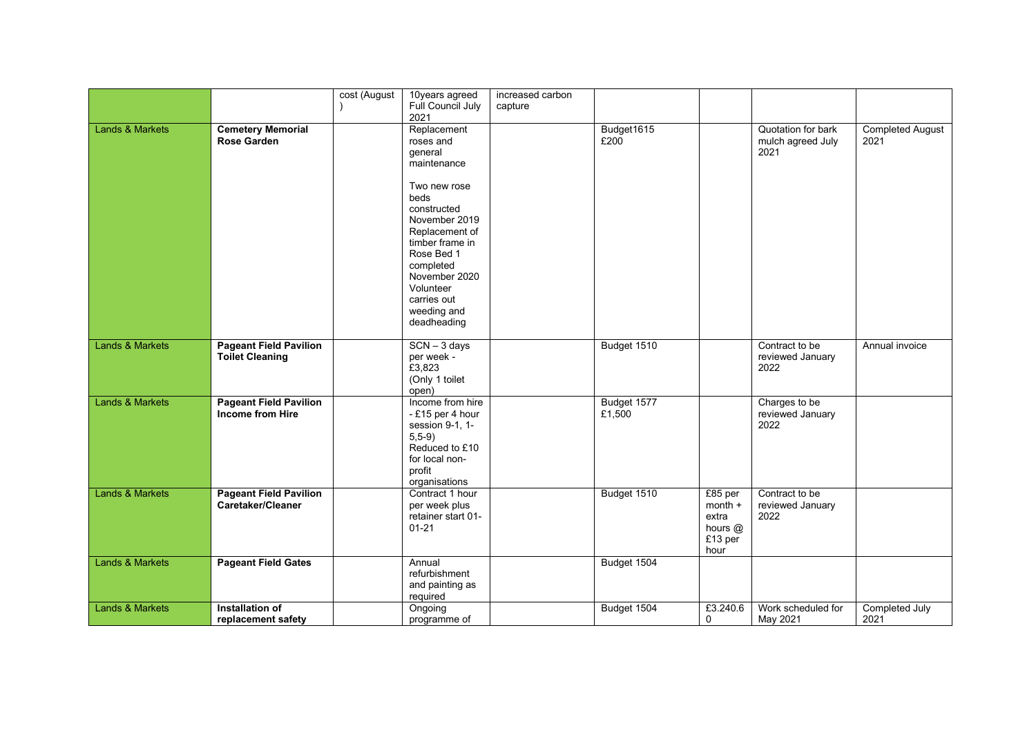|                            |                                                          | cost (August | 10years agreed<br>Full Council July<br>2021                                                                                                                                                                                                           | increased carbon<br>capture |                       |                                                               |                                                 |                                 |
|----------------------------|----------------------------------------------------------|--------------|-------------------------------------------------------------------------------------------------------------------------------------------------------------------------------------------------------------------------------------------------------|-----------------------------|-----------------------|---------------------------------------------------------------|-------------------------------------------------|---------------------------------|
| <b>Lands &amp; Markets</b> | <b>Cemetery Memorial</b><br><b>Rose Garden</b>           |              | Replacement<br>roses and<br>general<br>maintenance<br>Two new rose<br>beds<br>constructed<br>November 2019<br>Replacement of<br>timber frame in<br>Rose Bed 1<br>completed<br>November 2020<br>Volunteer<br>carries out<br>weeding and<br>deadheading |                             | Budget1615<br>£200    |                                                               | Quotation for bark<br>mulch agreed July<br>2021 | <b>Completed August</b><br>2021 |
| <b>Lands &amp; Markets</b> | <b>Pageant Field Pavilion</b><br><b>Toilet Cleaning</b>  |              | $SCN - 3$ days<br>per week -<br>£3,823<br>(Only 1 toilet<br>open)                                                                                                                                                                                     |                             | Budget 1510           |                                                               | Contract to be<br>reviewed January<br>2022      | Annual invoice                  |
| <b>Lands &amp; Markets</b> | <b>Pageant Field Pavilion</b><br><b>Income from Hire</b> |              | Income from hire<br>-£15 per 4 hour<br>session 9-1, 1-<br>$5, 5-9)$<br>Reduced to £10<br>for local non-<br>profit<br>organisations                                                                                                                    |                             | Budget 1577<br>£1,500 |                                                               | Charges to be<br>reviewed January<br>2022       |                                 |
| <b>Lands &amp; Markets</b> | <b>Pageant Field Pavilion</b><br>Caretaker/Cleaner       |              | Contract 1 hour<br>per week plus<br>retainer start 01-<br>$01 - 21$                                                                                                                                                                                   |                             | Budget 1510           | £85 per<br>$month +$<br>extra<br>hours $@$<br>£13 per<br>hour | Contract to be<br>reviewed January<br>2022      |                                 |
| Lands & Markets            | <b>Pageant Field Gates</b>                               |              | Annual<br>refurbishment<br>and painting as<br>required                                                                                                                                                                                                |                             | Budget 1504           |                                                               |                                                 |                                 |
| <b>Lands &amp; Markets</b> | Installation of<br>replacement safety                    |              | Ongoing<br>programme of                                                                                                                                                                                                                               |                             | Budget 1504           | £3.240.6<br>$\mathbf 0$                                       | Work scheduled for<br>May 2021                  | Completed July<br>2021          |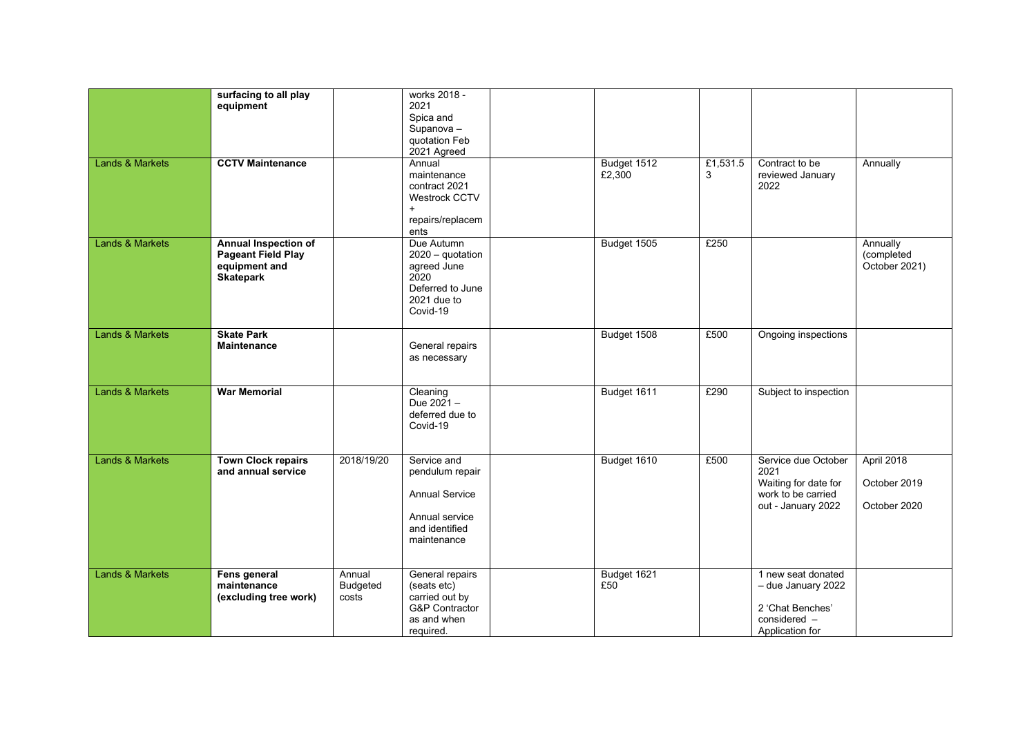| <b>Lands &amp; Markets</b> | surfacing to all play<br>equipment<br><b>CCTV Maintenance</b>                                 |                             | works 2018 -<br>2021<br>Spica and<br>$S$ upanova –<br>quotation Feb<br>2021 Agreed<br>Annual<br>maintenance<br>contract 2021<br>Westrock CCTV<br>$+$<br>repairs/replacem | Budget 1512<br>£2,300 | £1,531.5<br>3 | Contract to be<br>reviewed January<br>2022                                                      | Annually                                   |
|----------------------------|-----------------------------------------------------------------------------------------------|-----------------------------|--------------------------------------------------------------------------------------------------------------------------------------------------------------------------|-----------------------|---------------|-------------------------------------------------------------------------------------------------|--------------------------------------------|
| <b>Lands &amp; Markets</b> | <b>Annual Inspection of</b><br><b>Pageant Field Play</b><br>equipment and<br><b>Skatepark</b> |                             | ents<br>Due Autumn<br>2020 - quotation<br>agreed June<br>2020<br>Deferred to June<br>2021 due to<br>Covid-19                                                             | Budget 1505           | £250          |                                                                                                 | Annually<br>(completed<br>October 2021)    |
| <b>Lands &amp; Markets</b> | <b>Skate Park</b><br><b>Maintenance</b>                                                       |                             | General repairs<br>as necessary                                                                                                                                          | Budget 1508           | £500          | Ongoing inspections                                                                             |                                            |
| <b>Lands &amp; Markets</b> | <b>War Memorial</b>                                                                           |                             | Cleaning<br>Due $2021 -$<br>deferred due to<br>Covid-19                                                                                                                  | Budget 1611           | £290          | Subject to inspection                                                                           |                                            |
| <b>Lands &amp; Markets</b> | <b>Town Clock repairs</b><br>and annual service                                               | 2018/19/20                  | Service and<br>pendulum repair<br><b>Annual Service</b><br>Annual service<br>and identified<br>maintenance                                                               | Budget 1610           | £500          | Service due October<br>2021<br>Waiting for date for<br>work to be carried<br>out - January 2022 | April 2018<br>October 2019<br>October 2020 |
| <b>Lands &amp; Markets</b> | Fens general<br>maintenance<br>(excluding tree work)                                          | Annual<br>Budgeted<br>costs | General repairs<br>(seats etc)<br>carried out by<br>G&P Contractor<br>as and when<br>required.                                                                           | Budget 1621<br>£50    |               | 1 new seat donated<br>- due January 2022<br>2 'Chat Benches'<br>considered -<br>Application for |                                            |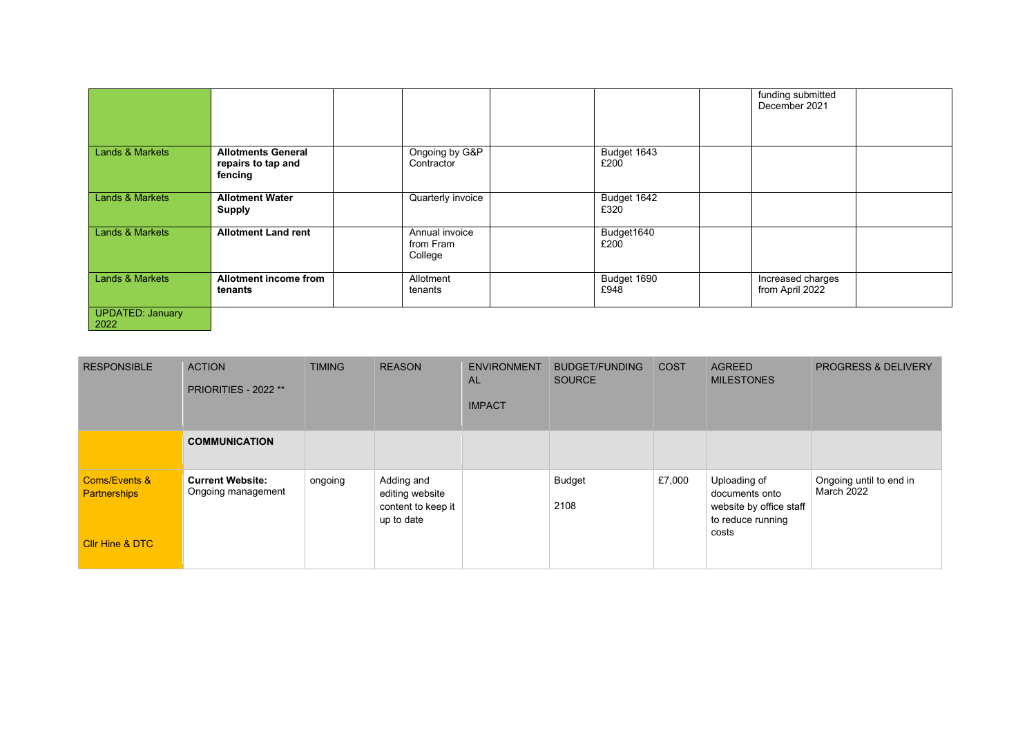|                                 |                                                            |                                        |                     | funding submitted<br>December 2021   |
|---------------------------------|------------------------------------------------------------|----------------------------------------|---------------------|--------------------------------------|
| <b>Lands &amp; Markets</b>      | <b>Allotments General</b><br>repairs to tap and<br>fencing | Ongoing by G&P<br>Contractor           | Budget 1643<br>£200 |                                      |
| Lands & Markets                 | <b>Allotment Water</b><br><b>Supply</b>                    | Quarterly invoice                      | Budget 1642<br>£320 |                                      |
| <b>Lands &amp; Markets</b>      | <b>Allotment Land rent</b>                                 | Annual invoice<br>from Fram<br>College | Budget1640<br>£200  |                                      |
| <b>Lands &amp; Markets</b>      | Allotment income from<br>tenants                           | Allotment<br>tenants                   | Budget 1690<br>£948 | Increased charges<br>from April 2022 |
| <b>UPDATED: January</b><br>2022 |                                                            |                                        |                     |                                      |

| <b>RESPONSIBLE</b>                              | <b>ACTION</b><br>PRIORITIES - 2022 **         | <b>TIMING</b> | <b>REASON</b>                                                     | <b>ENVIRONMENT</b><br><b>AL</b><br><b>IMPACT</b> | <b>BUDGET/FUNDING</b><br><b>SOURCE</b> | <b>COST</b> | <b>AGREED</b><br><b>MILESTONES</b>                                             | <b>PROGRESS &amp; DELIVERY</b>               |
|-------------------------------------------------|-----------------------------------------------|---------------|-------------------------------------------------------------------|--------------------------------------------------|----------------------------------------|-------------|--------------------------------------------------------------------------------|----------------------------------------------|
|                                                 | <b>COMMUNICATION</b>                          |               |                                                                   |                                                  |                                        |             |                                                                                |                                              |
| <b>Coms/Events &amp;</b><br><b>Partnerships</b> | <b>Current Website:</b><br>Ongoing management | ongoing       | Adding and<br>editing website<br>content to keep it<br>up to date |                                                  | <b>Budget</b><br>2108                  | £7,000      | Uploading of<br>documents onto<br>website by office staff<br>to reduce running | Ongoing until to end in<br><b>March 2022</b> |
| <b>Cllr Hine &amp; DTC</b>                      |                                               |               |                                                                   |                                                  |                                        |             | costs                                                                          |                                              |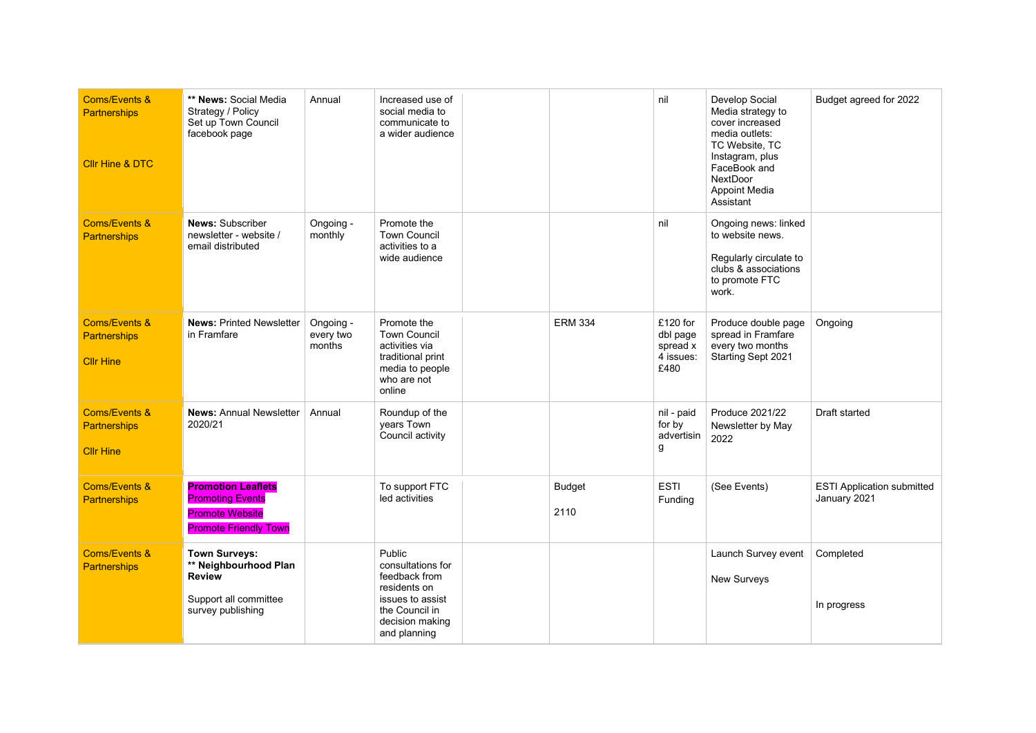| <b>Coms/Events &amp;</b><br><b>Partnerships</b><br><b>Cllr Hine &amp; DTC</b> | ** News: Social Media<br>Strategy / Policy<br>Set up Town Council<br>facebook page                             | Annual                           | Increased use of<br>social media to<br>communicate to<br>a wider audience                                                             |                       | nil                                                   | Develop Social<br>Media strategy to<br>cover increased<br>media outlets:<br>TC Website, TC<br>Instagram, plus<br>FaceBook and<br><b>NextDoor</b><br><b>Appoint Media</b><br>Assistant | Budget agreed for 2022                            |
|-------------------------------------------------------------------------------|----------------------------------------------------------------------------------------------------------------|----------------------------------|---------------------------------------------------------------------------------------------------------------------------------------|-----------------------|-------------------------------------------------------|---------------------------------------------------------------------------------------------------------------------------------------------------------------------------------------|---------------------------------------------------|
| <b>Coms/Events &amp;</b><br><b>Partnerships</b>                               | <b>News: Subscriber</b><br>newsletter - website /<br>email distributed                                         | Ongoing -<br>monthly             | Promote the<br><b>Town Council</b><br>activities to a<br>wide audience                                                                |                       | nil                                                   | Ongoing news: linked<br>to website news.<br>Regularly circulate to<br>clubs & associations<br>to promote FTC<br>work.                                                                 |                                                   |
| <b>Coms/Events &amp;</b><br><b>Partnerships</b><br><b>Cllr Hine</b>           | <b>News: Printed Newsletter</b><br>in Framfare                                                                 | Ongoing -<br>every two<br>months | Promote the<br><b>Town Council</b><br>activities via<br>traditional print<br>media to people<br>who are not<br>online                 | <b>ERM 334</b>        | £120 for<br>dbl page<br>spread x<br>4 issues:<br>£480 | Produce double page<br>spread in Framfare<br>every two months<br>Starting Sept 2021                                                                                                   | Ongoing                                           |
| <b>Coms/Events &amp;</b><br><b>Partnerships</b><br><b>Cllr Hine</b>           | <b>News: Annual Newsletter</b><br>2020/21                                                                      | Annual                           | Roundup of the<br>years Town<br>Council activity                                                                                      |                       | nil - paid<br>for by<br>advertisin<br>g               | Produce 2021/22<br>Newsletter by May<br>2022                                                                                                                                          | Draft started                                     |
| <b>Coms/Events &amp;</b><br><b>Partnerships</b>                               | <b>Promotion Leaflets</b><br><b>Promoting Events</b><br><b>Promote Website</b><br><b>Promote Friendly Town</b> |                                  | To support FTC<br>led activities                                                                                                      | <b>Budget</b><br>2110 | <b>ESTI</b><br>Funding                                | (See Events)                                                                                                                                                                          | <b>ESTI Application submitted</b><br>January 2021 |
| Coms/Events &<br><b>Partnerships</b>                                          | <b>Town Surveys:</b><br>** Neighbourhood Plan<br><b>Review</b><br>Support all committee<br>survey publishing   |                                  | Public<br>consultations for<br>feedback from<br>residents on<br>issues to assist<br>the Council in<br>decision making<br>and planning |                       |                                                       | Launch Survey event<br>New Surveys                                                                                                                                                    | Completed<br>In progress                          |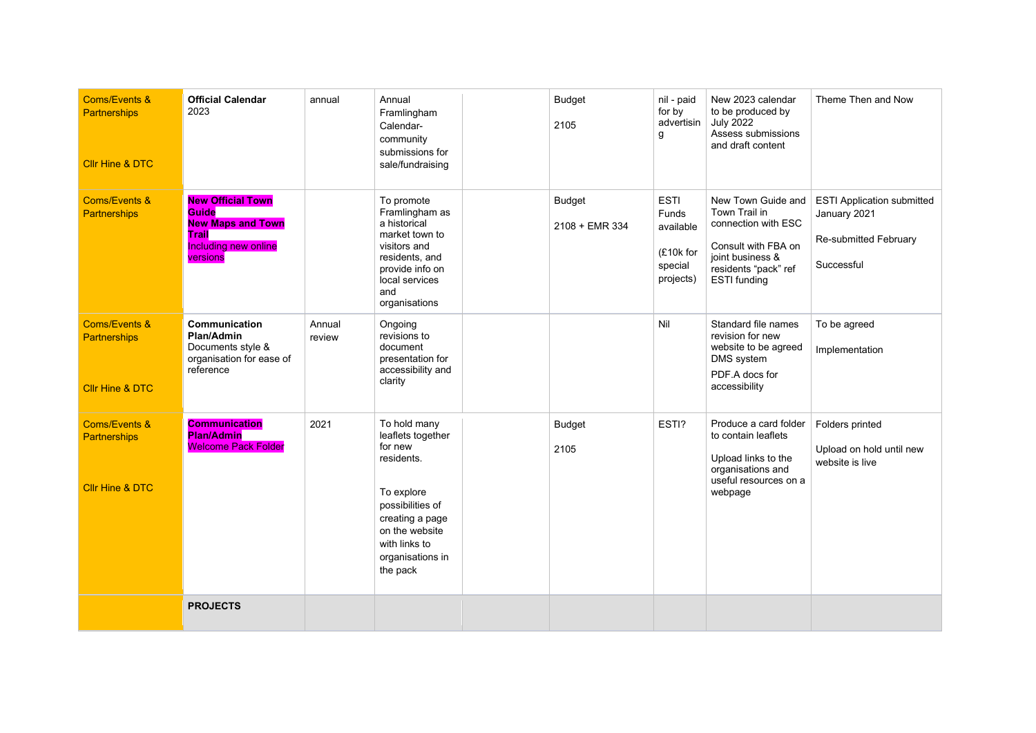| <b>Coms/Events &amp;</b><br><b>Partnerships</b><br><b>Cllr Hine &amp; DTC</b> | <b>Official Calendar</b><br>2023                                                                                         | annual           | Annual<br>Framlingham<br>Calendar-<br>community<br>submissions for<br>sale/fundraising                                                                                             | <b>Budget</b><br>2105           | nil - paid<br>for by<br>advertisin<br>g                                | New 2023 calendar<br>to be produced by<br><b>July 2022</b><br>Assess submissions<br>and draft content                                                | Theme Then and Now                                                                       |
|-------------------------------------------------------------------------------|--------------------------------------------------------------------------------------------------------------------------|------------------|------------------------------------------------------------------------------------------------------------------------------------------------------------------------------------|---------------------------------|------------------------------------------------------------------------|------------------------------------------------------------------------------------------------------------------------------------------------------|------------------------------------------------------------------------------------------|
| <b>Coms/Events &amp;</b><br><b>Partnerships</b>                               | <b>New Official Town</b><br><b>Guide</b><br><b>New Maps and Town</b><br>Trail<br><b>Including new online</b><br>versions |                  | To promote<br>Framlingham as<br>a historical<br>market town to<br>visitors and<br>residents, and<br>provide info on<br>local services<br>and<br>organisations                      | <b>Budget</b><br>2108 + EMR 334 | <b>ESTI</b><br>Funds<br>available<br>(£10k for<br>special<br>projects) | New Town Guide and<br>Town Trail in<br>connection with ESC<br>Consult with FBA on<br>joint business &<br>residents "pack" ref<br><b>ESTI</b> funding | <b>ESTI Application submitted</b><br>January 2021<br>Re-submitted February<br>Successful |
| <b>Coms/Events &amp;</b><br><b>Partnerships</b><br><b>Cllr Hine &amp; DTC</b> | Communication<br>Plan/Admin<br>Documents style &<br>organisation for ease of<br>reference                                | Annual<br>review | Ongoing<br>revisions to<br>document<br>presentation for<br>accessibility and<br>clarity                                                                                            |                                 | Nil                                                                    | Standard file names<br>revision for new<br>website to be agreed<br>DMS system<br>PDF.A docs for<br>accessibility                                     | To be agreed<br>Implementation                                                           |
| <b>Coms/Events &amp;</b><br><b>Partnerships</b><br><b>Cllr Hine &amp; DTC</b> | <b>Communication</b><br><b>Plan/Admin</b><br><b>Welcome Pack Folder</b>                                                  | 2021             | To hold many<br>leaflets together<br>for new<br>residents.<br>To explore<br>possibilities of<br>creating a page<br>on the website<br>with links to<br>organisations in<br>the pack | <b>Budget</b><br>2105           | ESTI?                                                                  | Produce a card folder<br>to contain leaflets<br>Upload links to the<br>organisations and<br>useful resources on a<br>webpage                         | Folders printed<br>Upload on hold until new<br>website is live                           |
|                                                                               | <b>PROJECTS</b>                                                                                                          |                  |                                                                                                                                                                                    |                                 |                                                                        |                                                                                                                                                      |                                                                                          |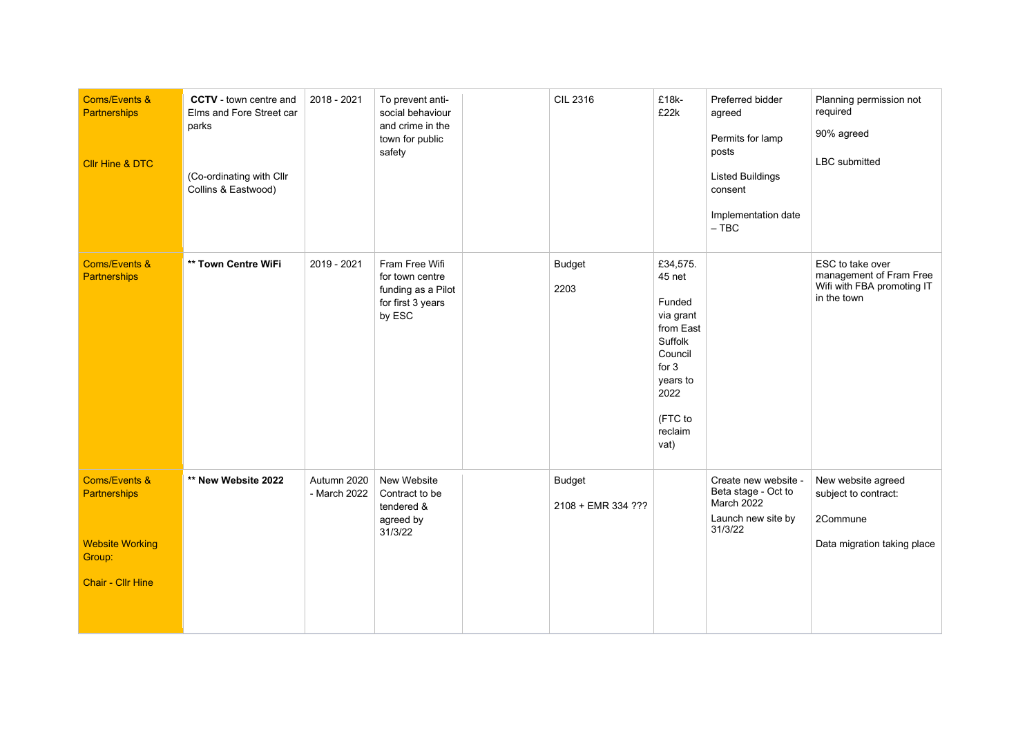| <b>Coms/Events &amp;</b><br><b>Partnerships</b><br><b>Cllr Hine &amp; DTC</b>                                   | <b>CCTV</b> - town centre and<br>Elms and Fore Street car<br>parks<br>(Co-ordinating with Cllr<br>Collins & Eastwood) | 2018 - 2021                 | To prevent anti-<br>social behaviour<br>and crime in the<br>town for public<br>safety  | <b>CIL 2316</b>                     | £18k-<br>£22k                                                                                                                             | Preferred bidder<br>agreed<br>Permits for lamp<br>posts<br><b>Listed Buildings</b><br>consent<br>Implementation date<br>$-$ TBC | Planning permission not<br>required<br>90% agreed<br>LBC submitted                       |
|-----------------------------------------------------------------------------------------------------------------|-----------------------------------------------------------------------------------------------------------------------|-----------------------------|----------------------------------------------------------------------------------------|-------------------------------------|-------------------------------------------------------------------------------------------------------------------------------------------|---------------------------------------------------------------------------------------------------------------------------------|------------------------------------------------------------------------------------------|
| <b>Coms/Events &amp;</b><br><b>Partnerships</b>                                                                 | ** Town Centre WiFi                                                                                                   | 2019 - 2021                 | Fram Free Wifi<br>for town centre<br>funding as a Pilot<br>for first 3 years<br>by ESC | <b>Budget</b><br>2203               | £34,575.<br>45 net<br>Funded<br>via grant<br>from East<br>Suffolk<br>Council<br>for $3$<br>years to<br>2022<br>(FTC to<br>reclaim<br>vat) |                                                                                                                                 | ESC to take over<br>management of Fram Free<br>Wifi with FBA promoting IT<br>in the town |
| <b>Coms/Events &amp;</b><br><b>Partnerships</b><br><b>Website Working</b><br>Group:<br><b>Chair - Cllr Hine</b> | ** New Website 2022                                                                                                   | Autumn 2020<br>- March 2022 | New Website<br>Contract to be<br>tendered &<br>agreed by<br>31/3/22                    | <b>Budget</b><br>2108 + EMR 334 ??? |                                                                                                                                           | Create new website -<br>Beta stage - Oct to<br><b>March 2022</b><br>Launch new site by<br>31/3/22                               | New website agreed<br>subject to contract:<br>2Commune<br>Data migration taking place    |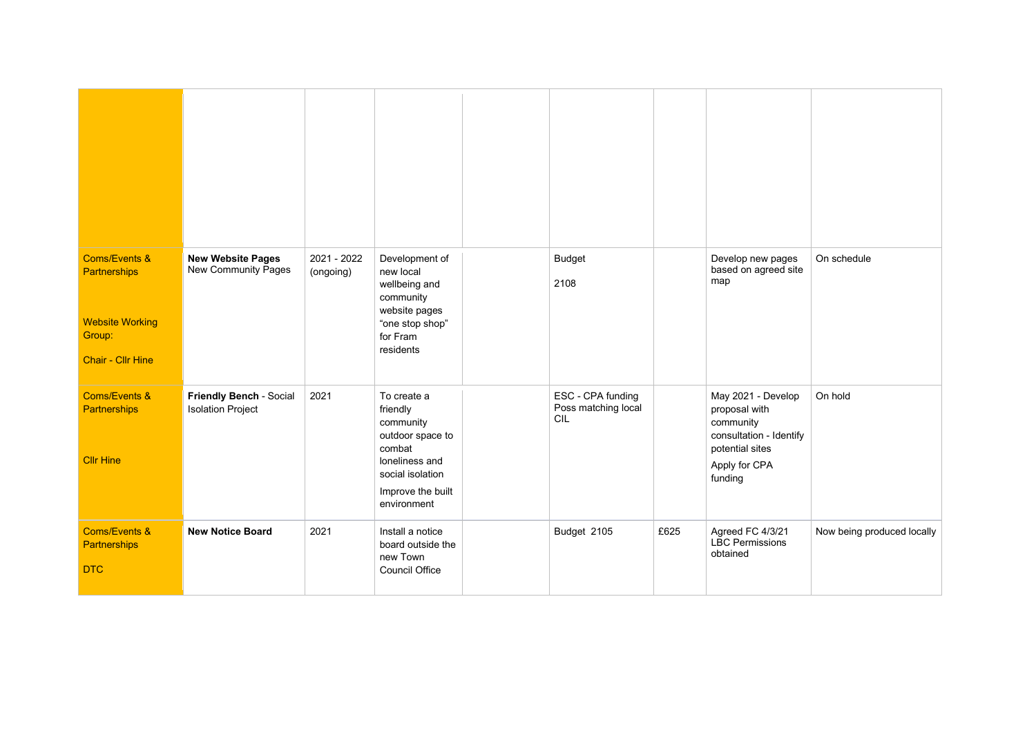| <b>Coms/Events &amp;</b><br><b>Partnerships</b><br><b>Website Working</b><br>Group:<br><b>Chair - Cllr Hine</b> | <b>New Website Pages</b><br>New Community Pages     | 2021 - 2022<br>(ongoing) | Development of<br>new local<br>wellbeing and<br>community<br>website pages<br>"one stop shop"<br>for Fram<br>residents                       | <b>Budget</b><br>2108                           |      | Develop new pages<br>based on agreed site<br>map                                                                           | On schedule                |
|-----------------------------------------------------------------------------------------------------------------|-----------------------------------------------------|--------------------------|----------------------------------------------------------------------------------------------------------------------------------------------|-------------------------------------------------|------|----------------------------------------------------------------------------------------------------------------------------|----------------------------|
| <b>Coms/Events &amp;</b><br>Partnerships<br><b>Cllr Hine</b>                                                    | Friendly Bench - Social<br><b>Isolation Project</b> | 2021                     | To create a<br>friendly<br>community<br>outdoor space to<br>combat<br>loneliness and<br>social isolation<br>Improve the built<br>environment | ESC - CPA funding<br>Poss matching local<br>CIL |      | May 2021 - Develop<br>proposal with<br>community<br>consultation - Identify<br>potential sites<br>Apply for CPA<br>funding | On hold                    |
| Coms/Events &<br>Partnerships<br><b>DTC</b>                                                                     | <b>New Notice Board</b>                             | 2021                     | Install a notice<br>board outside the<br>new Town<br><b>Council Office</b>                                                                   | Budget 2105                                     | £625 | Agreed FC 4/3/21<br><b>LBC Permissions</b><br>obtained                                                                     | Now being produced locally |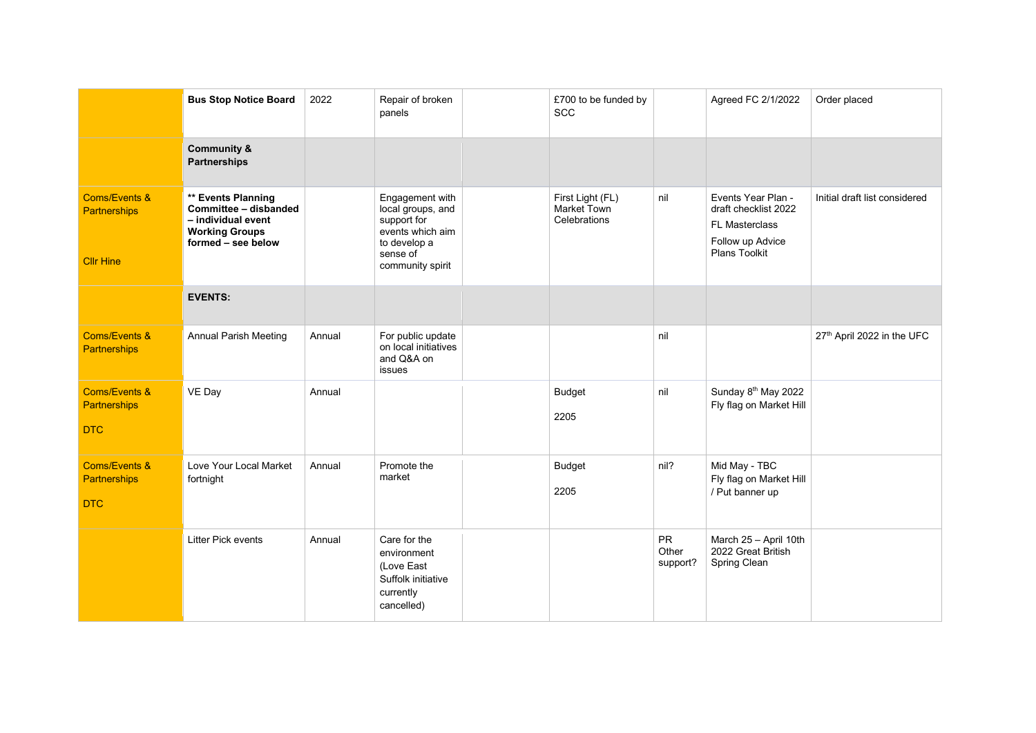|                                                                     | <b>Bus Stop Notice Board</b>                                                                                     | 2022   | Repair of broken<br>panels                                                                                              | £700 to be funded by<br><b>SCC</b>              |                                | Agreed FC 2/1/2022                                                                                              | Order placed                  |
|---------------------------------------------------------------------|------------------------------------------------------------------------------------------------------------------|--------|-------------------------------------------------------------------------------------------------------------------------|-------------------------------------------------|--------------------------------|-----------------------------------------------------------------------------------------------------------------|-------------------------------|
|                                                                     | <b>Community &amp;</b><br><b>Partnerships</b>                                                                    |        |                                                                                                                         |                                                 |                                |                                                                                                                 |                               |
| <b>Coms/Events &amp;</b><br><b>Partnerships</b><br><b>Cllr Hine</b> | ** Events Planning<br>Committee - disbanded<br>- individual event<br><b>Working Groups</b><br>formed - see below |        | Engagement with<br>local groups, and<br>support for<br>events which aim<br>to develop a<br>sense of<br>community spirit | First Light (FL)<br>Market Town<br>Celebrations | nil                            | Events Year Plan -<br>draft checklist 2022<br><b>FL Masterclass</b><br>Follow up Advice<br><b>Plans Toolkit</b> | Initial draft list considered |
|                                                                     | <b>EVENTS:</b>                                                                                                   |        |                                                                                                                         |                                                 |                                |                                                                                                                 |                               |
| <b>Coms/Events &amp;</b><br><b>Partnerships</b>                     | <b>Annual Parish Meeting</b>                                                                                     | Annual | For public update<br>on local initiatives<br>and Q&A on<br>issues                                                       |                                                 | nil                            |                                                                                                                 | 27th April 2022 in the UFC    |
| <b>Coms/Events &amp;</b><br>Partnerships<br><b>DTC</b>              | VE Day                                                                                                           | Annual |                                                                                                                         | <b>Budget</b><br>2205                           | nil                            | Sunday 8 <sup>th</sup> May 2022<br>Fly flag on Market Hill                                                      |                               |
| <b>Coms/Events &amp;</b><br><b>Partnerships</b><br><b>DTC</b>       | Love Your Local Market<br>fortnight                                                                              | Annual | Promote the<br>market                                                                                                   | <b>Budget</b><br>2205                           | nil?                           | Mid May - TBC<br>Fly flag on Market Hill<br>/ Put banner up                                                     |                               |
|                                                                     | <b>Litter Pick events</b>                                                                                        | Annual | Care for the<br>environment<br>(Love East<br>Suffolk initiative<br>currently<br>cancelled)                              |                                                 | <b>PR</b><br>Other<br>support? | March 25 - April 10th<br>2022 Great British<br>Spring Clean                                                     |                               |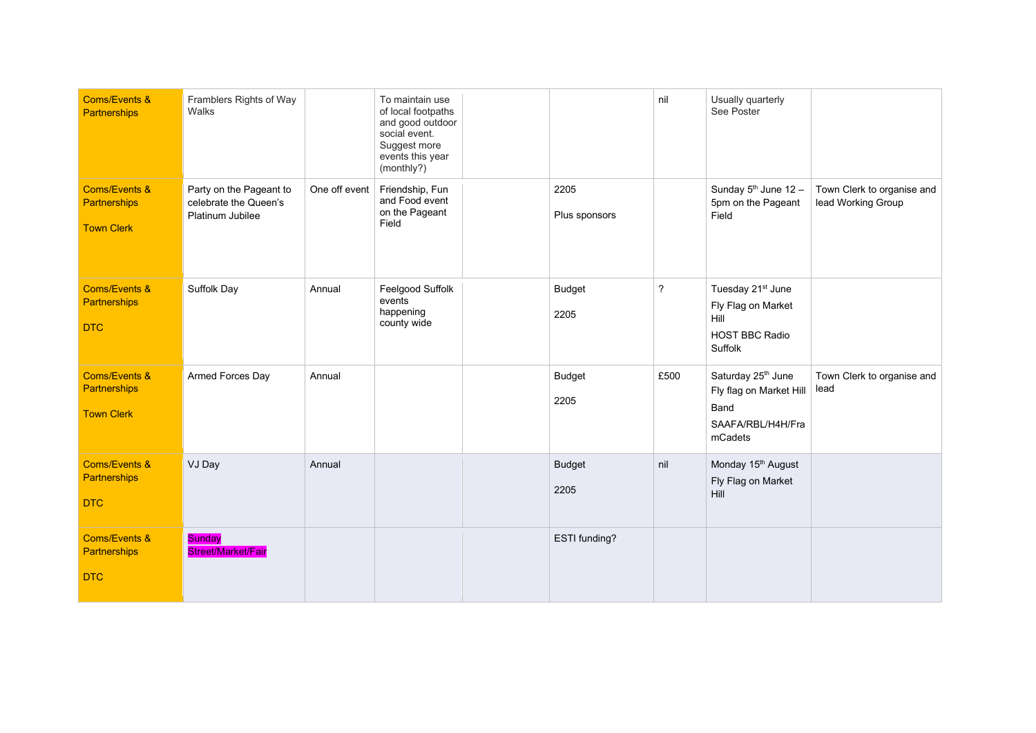| <b>Coms/Events &amp;</b><br>Partnerships                             | Framblers Rights of Way<br>Walks                                     |               | To maintain use<br>of local footpaths<br>and good outdoor<br>social event.<br>Suggest more<br>events this year<br>(monthly?) |                       | nil            | Usually quarterly<br>See Poster                                                                   |                                                  |
|----------------------------------------------------------------------|----------------------------------------------------------------------|---------------|------------------------------------------------------------------------------------------------------------------------------|-----------------------|----------------|---------------------------------------------------------------------------------------------------|--------------------------------------------------|
| <b>Coms/Events &amp;</b><br>Partnerships<br><b>Town Clerk</b>        | Party on the Pageant to<br>celebrate the Queen's<br>Platinum Jubilee | One off event | Friendship, Fun<br>and Food event<br>on the Pageant<br>Field                                                                 | 2205<br>Plus sponsors |                | Sunday 5 <sup>th</sup> June 12 -<br>5pm on the Pageant<br>Field                                   | Town Clerk to organise and<br>lead Working Group |
| <b>Coms/Events &amp;</b><br><b>Partnerships</b><br><b>DTC</b>        | Suffolk Day                                                          | Annual        | Feelgood Suffolk<br>events<br>happening<br>county wide                                                                       | <b>Budget</b><br>2205 | $\overline{?}$ | Tuesday 21 <sup>st</sup> June<br>Fly Flag on Market<br>Hill<br><b>HOST BBC Radio</b><br>Suffolk   |                                                  |
| <b>Coms/Events &amp;</b><br><b>Partnerships</b><br><b>Town Clerk</b> | Armed Forces Day                                                     | Annual        |                                                                                                                              | <b>Budget</b><br>2205 | £500           | Saturday 25 <sup>th</sup> June<br>Fly flag on Market Hill<br>Band<br>SAAFA/RBL/H4H/Fra<br>mCadets | Town Clerk to organise and<br>lead               |
| <b>Coms/Events &amp;</b><br><b>Partnerships</b><br><b>DTC</b>        | VJ Day                                                               | Annual        |                                                                                                                              | <b>Budget</b><br>2205 | nil            | Monday 15 <sup>th</sup> August<br>Fly Flag on Market<br>Hill                                      |                                                  |
| <b>Coms/Events &amp;</b><br>Partnerships<br><b>DTC</b>               | <b>Sunday</b><br><b>Street/Market/Fair</b>                           |               |                                                                                                                              | ESTI funding?         |                |                                                                                                   |                                                  |